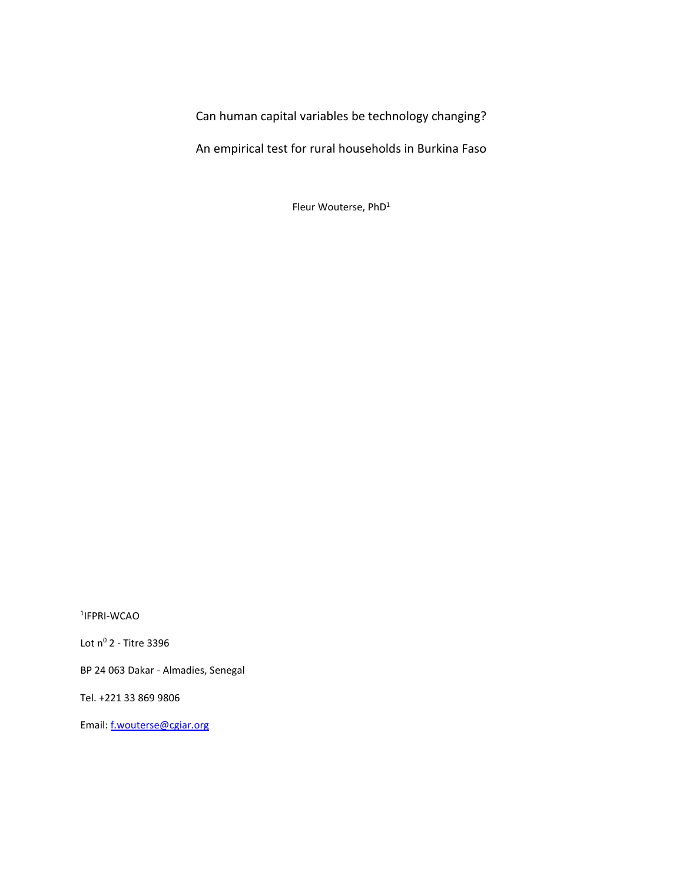Can human capital variables be technology changing?

An empirical test for rural households in Burkina Faso

Fleur Wouterse, PhD<sup>1</sup>

1 IFPRI-WCAO

Lot  $n^0$  2 - Titre 3396

BP 24 063 Dakar - Almadies, Senegal

Tel. +221 33 869 9806

Email: [f.wouterse@cgiar.org](mailto:f.wouterse@cgiar.org)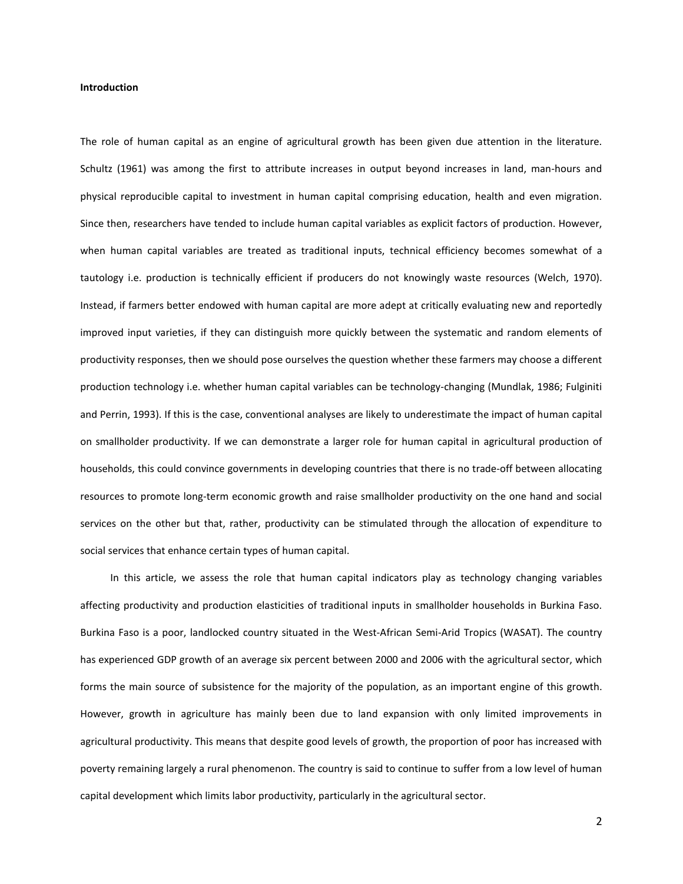#### **Introduction**

The role of human capital as an engine of agricultural growth has been given due attention in the literature. Schultz (1961) was among the first to attribute increases in output beyond increases in land, man-hours and physical reproducible capital to investment in human capital comprising education, health and even migration. Since then, researchers have tended to include human capital variables as explicit factors of production. However, when human capital variables are treated as traditional inputs, technical efficiency becomes somewhat of a tautology i.e. production is technically efficient if producers do not knowingly waste resources (Welch, 1970). Instead, if farmers better endowed with human capital are more adept at critically evaluating new and reportedly improved input varieties, if they can distinguish more quickly between the systematic and random elements of productivity responses, then we should pose ourselves the question whether these farmers may choose a different production technology i.e. whether human capital variables can be technology-changing (Mundlak, 1986; Fulginiti and Perrin, 1993). If this is the case, conventional analyses are likely to underestimate the impact of human capital on smallholder productivity. If we can demonstrate a larger role for human capital in agricultural production of households, this could convince governments in developing countries that there is no trade-off between allocating resources to promote long-term economic growth and raise smallholder productivity on the one hand and social services on the other but that, rather, productivity can be stimulated through the allocation of expenditure to social services that enhance certain types of human capital.

In this article, we assess the role that human capital indicators play as technology changing variables affecting productivity and production elasticities of traditional inputs in smallholder households in Burkina Faso. Burkina Faso is a poor, landlocked country situated in the West-African Semi-Arid Tropics (WASAT). The country has experienced GDP growth of an average six percent between 2000 and 2006 with the agricultural sector, which forms the main source of subsistence for the majority of the population, as an important engine of this growth. However, growth in agriculture has mainly been due to land expansion with only limited improvements in agricultural productivity. This means that despite good levels of growth, the proportion of poor has increased with poverty remaining largely a rural phenomenon. The country is said to continue to suffer from a low level of human capital development which limits labor productivity, particularly in the agricultural sector.

2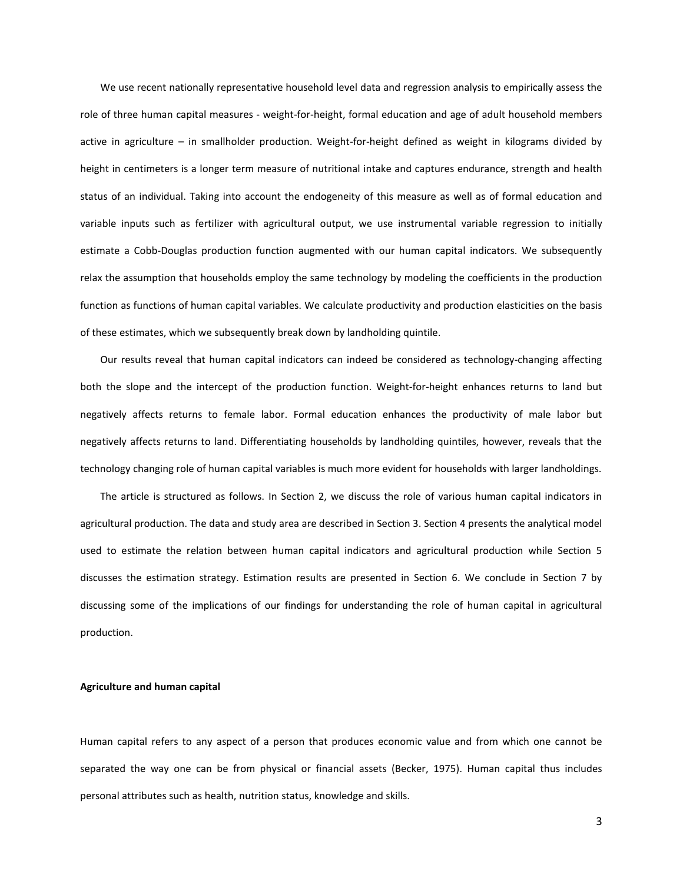We use recent nationally representative household level data and regression analysis to empirically assess the role of three human capital measures - weight-for-height, formal education and age of adult household members active in agriculture – in smallholder production. Weight-for-height defined as weight in kilograms divided by height in centimeters is a longer term measure of nutritional intake and captures endurance, strength and health status of an individual. Taking into account the endogeneity of this measure as well as of formal education and variable inputs such as fertilizer with agricultural output, we use instrumental variable regression to initially estimate a Cobb-Douglas production function augmented with our human capital indicators. We subsequently relax the assumption that households employ the same technology by modeling the coefficients in the production function as functions of human capital variables. We calculate productivity and production elasticities on the basis of these estimates, which we subsequently break down by landholding quintile.

Our results reveal that human capital indicators can indeed be considered as technology-changing affecting both the slope and the intercept of the production function. Weight-for-height enhances returns to land but negatively affects returns to female labor. Formal education enhances the productivity of male labor but negatively affects returns to land. Differentiating households by landholding quintiles, however, reveals that the technology changing role of human capital variables is much more evident for households with larger landholdings.

The article is structured as follows. In Section 2, we discuss the role of various human capital indicators in agricultural production. The data and study area are described in Section 3. Section 4 presents the analytical model used to estimate the relation between human capital indicators and agricultural production while Section 5 discusses the estimation strategy. Estimation results are presented in Section 6. We conclude in Section 7 by discussing some of the implications of our findings for understanding the role of human capital in agricultural production.

# **Agriculture and human capital**

Human capital refers to any aspect of a person that produces economic value and from which one cannot be separated the way one can be from physical or financial assets (Becker, 1975). Human capital thus includes personal attributes such as health, nutrition status, knowledge and skills.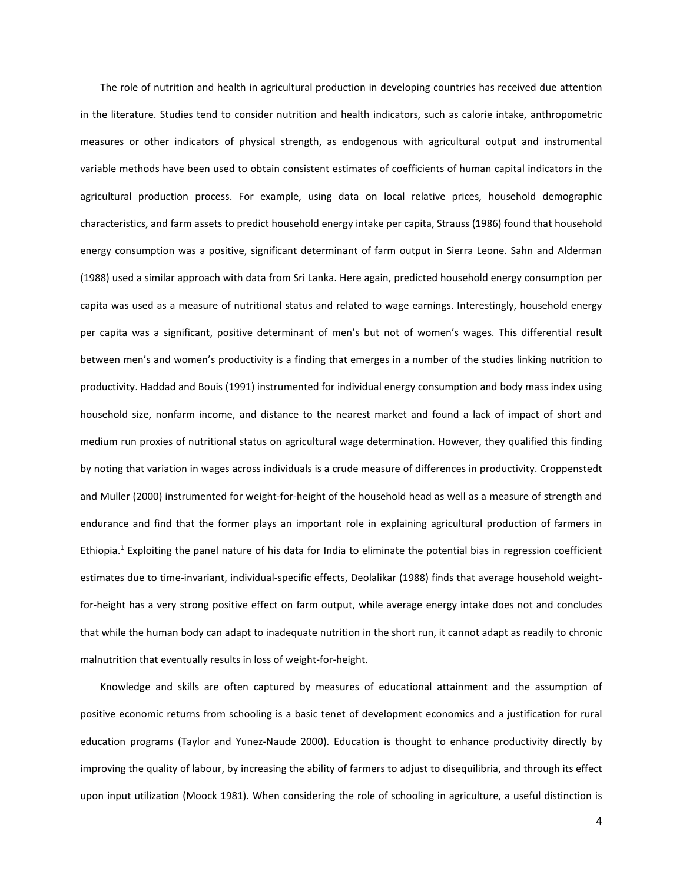The role of nutrition and health in agricultural production in developing countries has received due attention in the literature. Studies tend to consider nutrition and health indicators, such as calorie intake, anthropometric measures or other indicators of physical strength, as endogenous with agricultural output and instrumental variable methods have been used to obtain consistent estimates of coefficients of human capital indicators in the agricultural production process. For example, using data on local relative prices, household demographic characteristics, and farm assets to predict household energy intake per capita, Strauss (1986) found that household energy consumption was a positive, significant determinant of farm output in Sierra Leone. Sahn and Alderman (1988) used a similar approach with data from Sri Lanka. Here again, predicted household energy consumption per capita was used as a measure of nutritional status and related to wage earnings. Interestingly, household energy per capita was a significant, positive determinant of men's but not of women's wages. This differential result between men's and women's productivity is a finding that emerges in a number of the studies linking nutrition to productivity. Haddad and Bouis (1991) instrumented for individual energy consumption and body mass index using household size, nonfarm income, and distance to the nearest market and found a lack of impact of short and medium run proxies of nutritional status on agricultural wage determination. However, they qualified this finding by noting that variation in wages across individuals is a crude measure of differences in productivity. Croppenstedt and Muller (2000) instrumented for weight-for-height of the household head as well as a measure of strength and endurance and find that the former plays an important role in explaining agricultural production of farmers in Ethiopia.<sup>1</sup> Exploiting the panel nature of his data for India to eliminate the potential bias in regression coefficient estimates due to time-invariant, individual-specific effects, Deolalikar (1988) finds that average household weightfor-height has a very strong positive effect on farm output, while average energy intake does not and concludes that while the human body can adapt to inadequate nutrition in the short run, it cannot adapt as readily to chronic malnutrition that eventually results in loss of weight-for-height.

Knowledge and skills are often captured by measures of educational attainment and the assumption of positive economic returns from schooling is a basic tenet of development economics and a justification for rural education programs (Taylor and Yunez-Naude 2000). Education is thought to enhance productivity directly by improving the quality of labour, by increasing the ability of farmers to adjust to disequilibria, and through its effect upon input utilization (Moock 1981). When considering the role of schooling in agriculture, a useful distinction is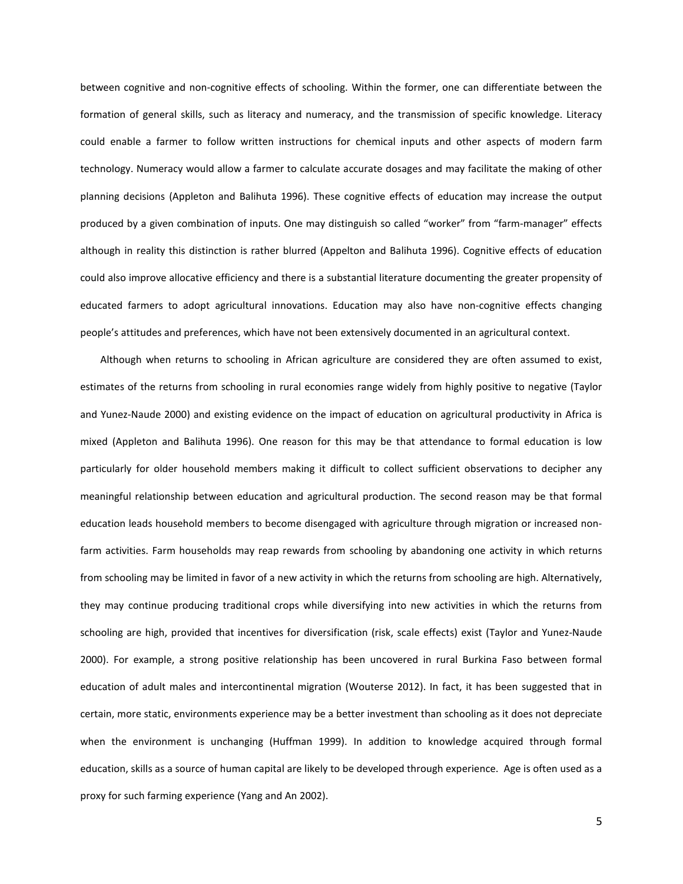between cognitive and non-cognitive effects of schooling. Within the former, one can differentiate between the formation of general skills, such as literacy and numeracy, and the transmission of specific knowledge. Literacy could enable a farmer to follow written instructions for chemical inputs and other aspects of modern farm technology. Numeracy would allow a farmer to calculate accurate dosages and may facilitate the making of other planning decisions (Appleton and Balihuta 1996). These cognitive effects of education may increase the output produced by a given combination of inputs. One may distinguish so called "worker" from "farm-manager" effects although in reality this distinction is rather blurred (Appelton and Balihuta 1996). Cognitive effects of education could also improve allocative efficiency and there is a substantial literature documenting the greater propensity of educated farmers to adopt agricultural innovations. Education may also have non-cognitive effects changing people's attitudes and preferences, which have not been extensively documented in an agricultural context.

Although when returns to schooling in African agriculture are considered they are often assumed to exist, estimates of the returns from schooling in rural economies range widely from highly positive to negative (Taylor and Yunez-Naude 2000) and existing evidence on the impact of education on agricultural productivity in Africa is mixed (Appleton and Balihuta 1996). One reason for this may be that attendance to formal education is low particularly for older household members making it difficult to collect sufficient observations to decipher any meaningful relationship between education and agricultural production. The second reason may be that formal education leads household members to become disengaged with agriculture through migration or increased nonfarm activities. Farm households may reap rewards from schooling by abandoning one activity in which returns from schooling may be limited in favor of a new activity in which the returns from schooling are high. Alternatively, they may continue producing traditional crops while diversifying into new activities in which the returns from schooling are high, provided that incentives for diversification (risk, scale effects) exist (Taylor and Yunez-Naude 2000). For example, a strong positive relationship has been uncovered in rural Burkina Faso between formal education of adult males and intercontinental migration (Wouterse 2012). In fact, it has been suggested that in certain, more static, environments experience may be a better investment than schooling as it does not depreciate when the environment is unchanging (Huffman 1999). In addition to knowledge acquired through formal education, skills as a source of human capital are likely to be developed through experience. Age is often used as a proxy for such farming experience (Yang and An 2002).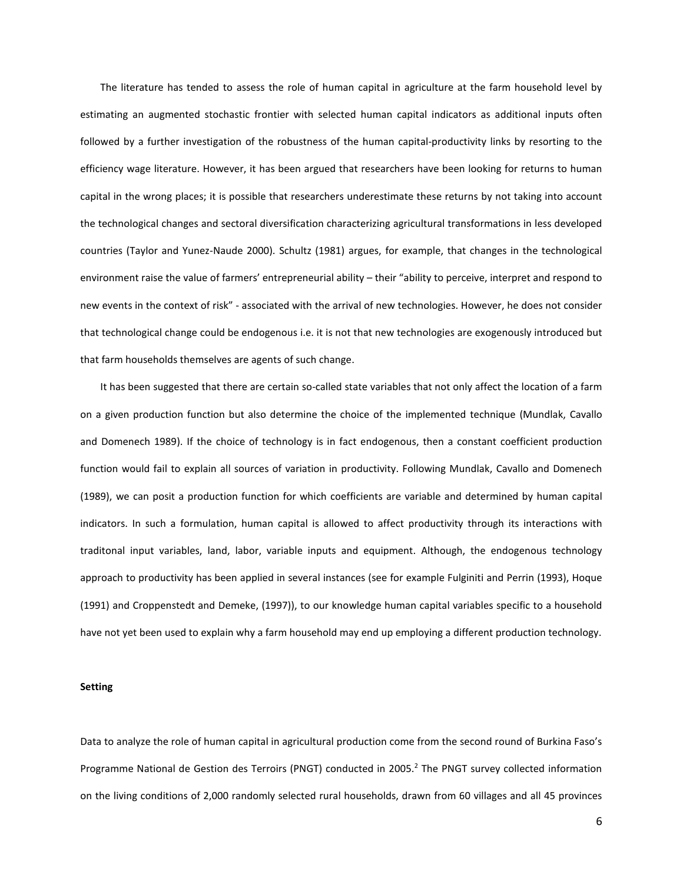The literature has tended to assess the role of human capital in agriculture at the farm household level by estimating an augmented stochastic frontier with selected human capital indicators as additional inputs often followed by a further investigation of the robustness of the human capital-productivity links by resorting to the efficiency wage literature. However, it has been argued that researchers have been looking for returns to human capital in the wrong places; it is possible that researchers underestimate these returns by not taking into account the technological changes and sectoral diversification characterizing agricultural transformations in less developed countries (Taylor and Yunez-Naude 2000). Schultz (1981) argues, for example, that changes in the technological environment raise the value of farmers' entrepreneurial ability – their "ability to perceive, interpret and respond to new events in the context of risk" - associated with the arrival of new technologies. However, he does not consider that technological change could be endogenous i.e. it is not that new technologies are exogenously introduced but that farm households themselves are agents of such change.

It has been suggested that there are certain so-called state variables that not only affect the location of a farm on a given production function but also determine the choice of the implemented technique (Mundlak, Cavallo and Domenech 1989). If the choice of technology is in fact endogenous, then a constant coefficient production function would fail to explain all sources of variation in productivity. Following Mundlak, Cavallo and Domenech (1989), we can posit a production function for which coefficients are variable and determined by human capital indicators. In such a formulation, human capital is allowed to affect productivity through its interactions with traditonal input variables, land, labor, variable inputs and equipment. Although, the endogenous technology approach to productivity has been applied in several instances (see for example Fulginiti and Perrin (1993), Hoque (1991) and Croppenstedt and Demeke, (1997)), to our knowledge human capital variables specific to a household have not yet been used to explain why a farm household may end up employing a different production technology.

#### **Setting**

Data to analyze the role of human capital in agricultural production come from the second round of Burkina Faso's Programme National de Gestion des Terroirs (PNGT) conducted in 2005.<sup>2</sup> The PNGT survey collected information on the living conditions of 2,000 randomly selected rural households, drawn from 60 villages and all 45 provinces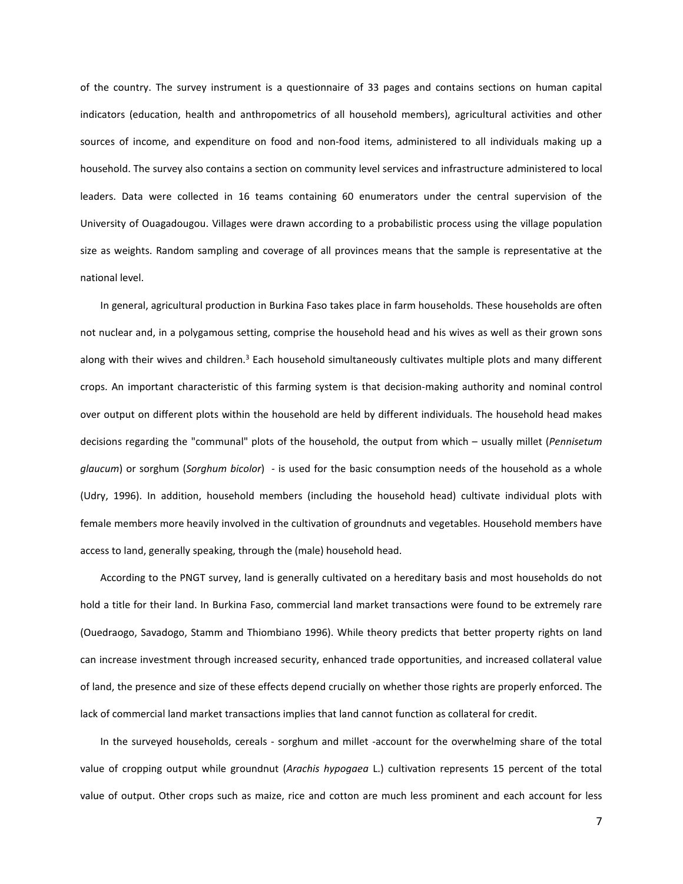of the country. The survey instrument is a questionnaire of 33 pages and contains sections on human capital indicators (education, health and anthropometrics of all household members), agricultural activities and other sources of income, and expenditure on food and non-food items, administered to all individuals making up a household. The survey also contains a section on community level services and infrastructure administered to local leaders. Data were collected in 16 teams containing 60 enumerators under the central supervision of the University of Ouagadougou. Villages were drawn according to a probabilistic process using the village population size as weights. Random sampling and coverage of all provinces means that the sample is representative at the national level.

In general, agricultural production in Burkina Faso takes place in farm households. These households are often not nuclear and, in a polygamous setting, comprise the household head and his wives as well as their grown sons along with their wives and children. $3$  Each household simultaneously cultivates multiple plots and many different crops. An important characteristic of this farming system is that decision-making authority and nominal control over output on different plots within the household are held by different individuals. The household head makes decisions regarding the "communal" plots of the household, the output from which – usually millet (*Pennisetum glaucum*) or sorghum (*Sorghum bicolor*) - is used for the basic consumption needs of the household as a whole (Udry, 1996). In addition, household members (including the household head) cultivate individual plots with female members more heavily involved in the cultivation of groundnuts and vegetables. Household members have access to land, generally speaking, through the (male) household head.

According to the PNGT survey, land is generally cultivated on a hereditary basis and most households do not hold a title for their land. In Burkina Faso, commercial land market transactions were found to be extremely rare (Ouedraogo, Savadogo, Stamm and Thiombiano 1996). While theory predicts that better property rights on land can increase investment through increased security, enhanced trade opportunities, and increased collateral value of land, the presence and size of these effects depend crucially on whether those rights are properly enforced. The lack of commercial land market transactions implies that land cannot function as collateral for credit.

In the surveyed households, cereals - sorghum and millet -account for the overwhelming share of the total value of cropping output while groundnut (*Arachis hypogaea* L.) cultivation represents 15 percent of the total value of output. Other crops such as maize, rice and cotton are much less prominent and each account for less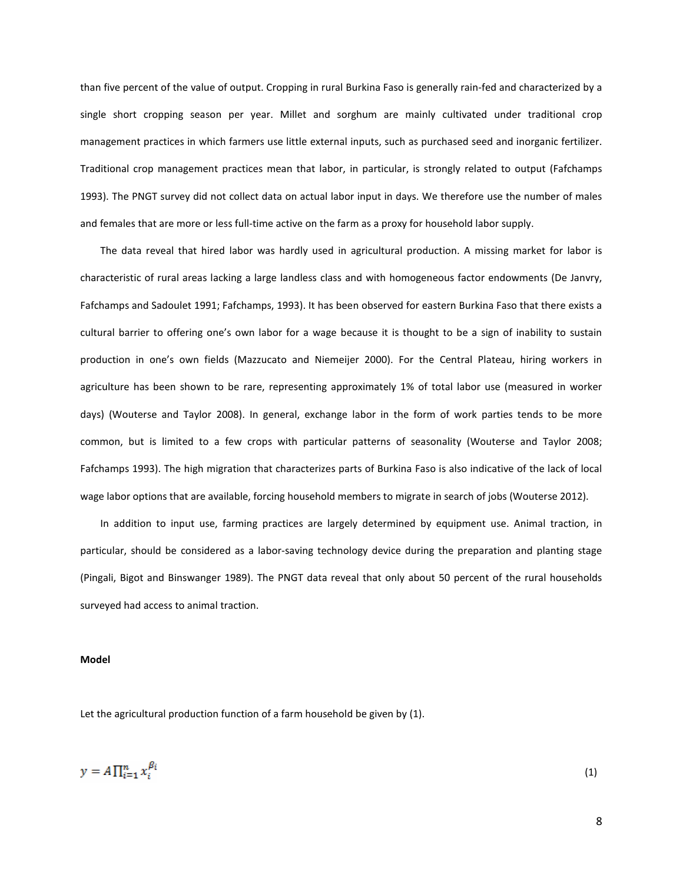than five percent of the value of output. Cropping in rural Burkina Faso is generally rain-fed and characterized by a single short cropping season per year. Millet and sorghum are mainly cultivated under traditional crop management practices in which farmers use little external inputs, such as purchased seed and inorganic fertilizer. Traditional crop management practices mean that labor, in particular, is strongly related to output (Fafchamps 1993). The PNGT survey did not collect data on actual labor input in days. We therefore use the number of males and females that are more or less full-time active on the farm as a proxy for household labor supply.

The data reveal that hired labor was hardly used in agricultural production. A missing market for labor is characteristic of rural areas lacking a large landless class and with homogeneous factor endowments (De Janvry, Fafchamps and Sadoulet 1991; Fafchamps, 1993). It has been observed for eastern Burkina Faso that there exists a cultural barrier to offering one's own labor for a wage because it is thought to be a sign of inability to sustain production in one's own fields (Mazzucato and Niemeijer 2000). For the Central Plateau, hiring workers in agriculture has been shown to be rare, representing approximately 1% of total labor use (measured in worker days) (Wouterse and Taylor 2008). In general, exchange labor in the form of work parties tends to be more common, but is limited to a few crops with particular patterns of seasonality (Wouterse and Taylor 2008; Fafchamps 1993). The high migration that characterizes parts of Burkina Faso is also indicative of the lack of local wage labor options that are available, forcing household members to migrate in search of jobs (Wouterse 2012).

In addition to input use, farming practices are largely determined by equipment use. Animal traction, in particular, should be considered as a labor-saving technology device during the preparation and planting stage (Pingali, Bigot and Binswanger 1989). The PNGT data reveal that only about 50 percent of the rural households surveyed had access to animal traction.

## **Model**

Let the agricultural production function of a farm household be given by (1).

$$
y = A \prod_{i=1}^{n} x_i^{\beta_i} \tag{1}
$$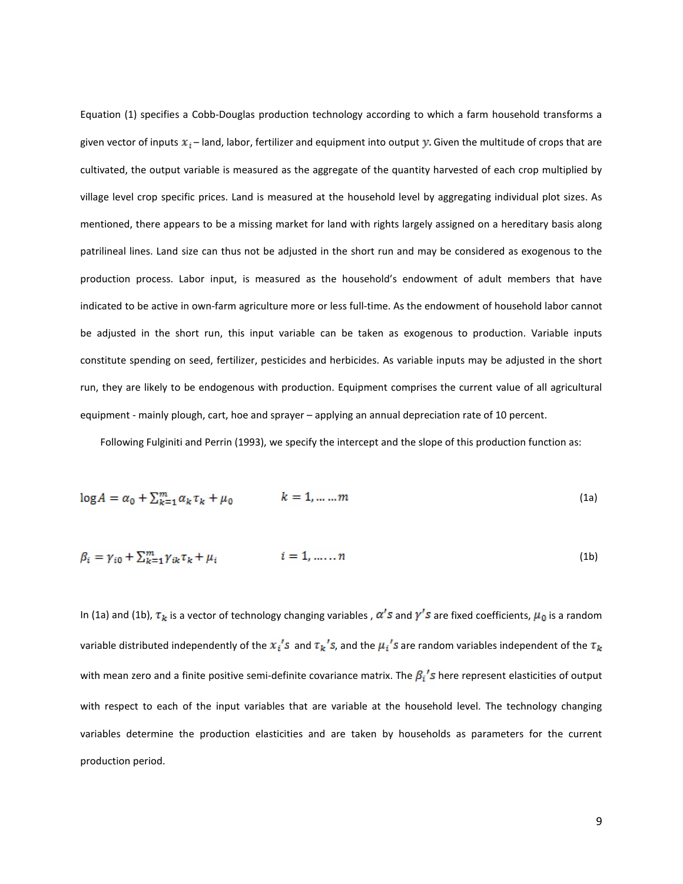Equation (1) specifies a Cobb-Douglas production technology according to which a farm household transforms a given vector of inputs  $x_i$  – land, labor, fertilizer and equipment into output  $y$ . Given the multitude of crops that are cultivated, the output variable is measured as the aggregate of the quantity harvested of each crop multiplied by village level crop specific prices. Land is measured at the household level by aggregating individual plot sizes. As mentioned, there appears to be a missing market for land with rights largely assigned on a hereditary basis along patrilineal lines. Land size can thus not be adjusted in the short run and may be considered as exogenous to the production process. Labor input, is measured as the household's endowment of adult members that have indicated to be active in own-farm agriculture more or less full-time. As the endowment of household labor cannot be adjusted in the short run, this input variable can be taken as exogenous to production. Variable inputs constitute spending on seed, fertilizer, pesticides and herbicides. As variable inputs may be adjusted in the short run, they are likely to be endogenous with production. Equipment comprises the current value of all agricultural equipment - mainly plough, cart, hoe and sprayer – applying an annual depreciation rate of 10 percent.

Following Fulginiti and Perrin (1993), we specify the intercept and the slope of this production function as:

$$
\log A = \alpha_0 + \sum_{k=1}^{m} \alpha_k \tau_k + \mu_0 \qquad k = 1, \dots, m \tag{1a}
$$

$$
\beta_i = \gamma_{i0} + \sum_{k=1}^m \gamma_{ik} \tau_k + \mu_i \qquad i = 1, \dots, n \tag{1b}
$$

In (1a) and (1b),  $\tau_k$  is a vector of technology changing variables ,  $\alpha' s$  and  $\gamma' s$  are fixed coefficients,  $\mu_0$  is a random variable distributed independently of the  $x_i$ 's and  $\tau_k$ 's, and the  $\mu_i$ 's are random variables independent of the  $\tau_k$ with mean zero and a finite positive semi-definite covariance matrix. The  $\beta_i$ 's here represent elasticities of output with respect to each of the input variables that are variable at the household level. The technology changing variables determine the production elasticities and are taken by households as parameters for the current production period.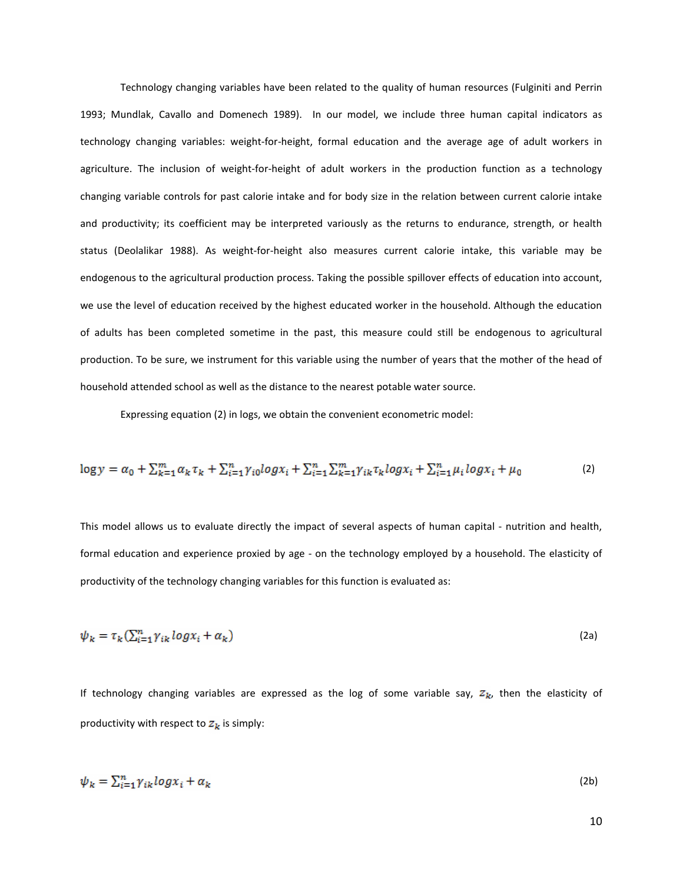Technology changing variables have been related to the quality of human resources (Fulginiti and Perrin 1993; Mundlak, Cavallo and Domenech 1989). In our model, we include three human capital indicators as technology changing variables: weight-for-height, formal education and the average age of adult workers in agriculture. The inclusion of weight-for-height of adult workers in the production function as a technology changing variable controls for past calorie intake and for body size in the relation between current calorie intake and productivity; its coefficient may be interpreted variously as the returns to endurance, strength, or health status (Deolalikar 1988). As weight-for-height also measures current calorie intake, this variable may be endogenous to the agricultural production process. Taking the possible spillover effects of education into account, we use the level of education received by the highest educated worker in the household. Although the education of adults has been completed sometime in the past, this measure could still be endogenous to agricultural production. To be sure, we instrument for this variable using the number of years that the mother of the head of household attended school as well as the distance to the nearest potable water source.

Expressing equation (2) in logs, we obtain the convenient econometric model:

$$
\log y = \alpha_0 + \sum_{k=1}^{m} \alpha_k \tau_k + \sum_{i=1}^{n} \gamma_{i0} \log x_i + \sum_{i=1}^{n} \sum_{k=1}^{m} \gamma_{ik} \tau_k \log x_i + \sum_{i=1}^{n} \mu_i \log x_i + \mu_0
$$
 (2)

This model allows us to evaluate directly the impact of several aspects of human capital - nutrition and health, formal education and experience proxied by age - on the technology employed by a household. The elasticity of productivity of the technology changing variables for this function is evaluated as:

$$
\psi_k = \tau_k \left( \sum_{i=1}^n \gamma_{ik} \log x_i + \alpha_k \right) \tag{2a}
$$

If technology changing variables are expressed as the log of some variable say,  $z_k$ , then the elasticity of productivity with respect to  $z_k$  is simply:

$$
\psi_k = \sum_{i=1}^n \gamma_{ik} \log x_i + \alpha_k \tag{2b}
$$

10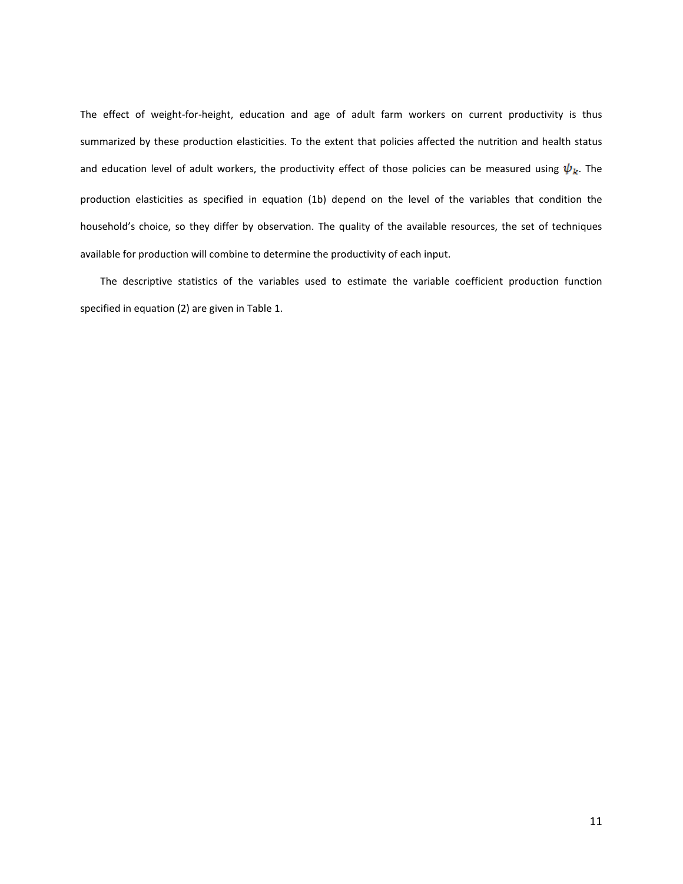The effect of weight-for-height, education and age of adult farm workers on current productivity is thus summarized by these production elasticities. To the extent that policies affected the nutrition and health status and education level of adult workers, the productivity effect of those policies can be measured using  $\psi_k$ . The production elasticities as specified in equation (1b) depend on the level of the variables that condition the household's choice, so they differ by observation. The quality of the available resources, the set of techniques available for production will combine to determine the productivity of each input.

The descriptive statistics of the variables used to estimate the variable coefficient production function specified in equation (2) are given in Table 1.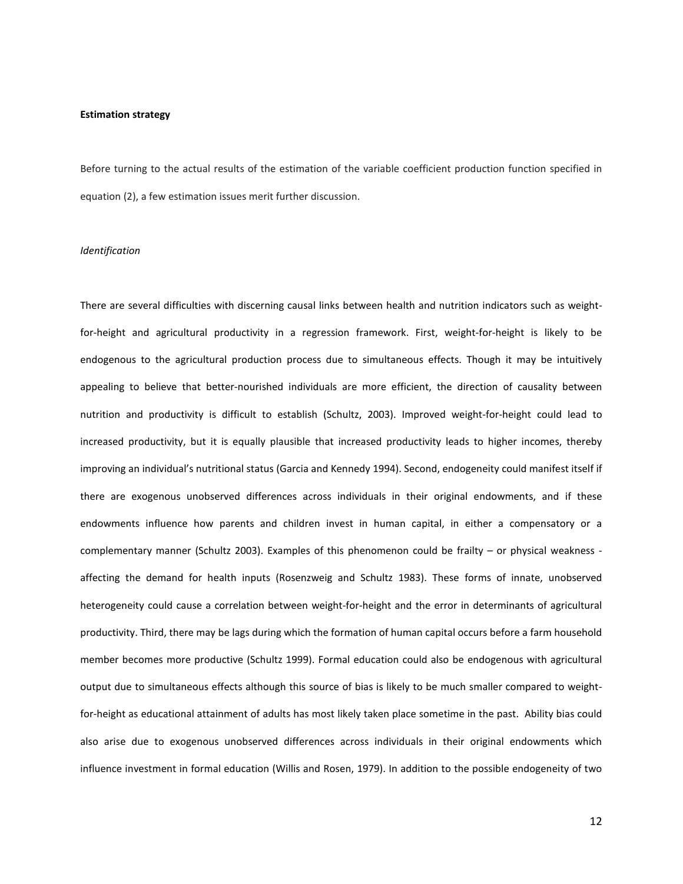#### **Estimation strategy**

Before turning to the actual results of the estimation of the variable coefficient production function specified in equation (2), a few estimation issues merit further discussion.

# *Identification*

There are several difficulties with discerning causal links between health and nutrition indicators such as weightfor-height and agricultural productivity in a regression framework. First, weight-for-height is likely to be endogenous to the agricultural production process due to simultaneous effects. Though it may be intuitively appealing to believe that better-nourished individuals are more efficient, the direction of causality between nutrition and productivity is difficult to establish (Schultz, 2003). Improved weight-for-height could lead to increased productivity, but it is equally plausible that increased productivity leads to higher incomes, thereby improving an individual's nutritional status (Garcia and Kennedy 1994). Second, endogeneity could manifest itself if there are exogenous unobserved differences across individuals in their original endowments, and if these endowments influence how parents and children invest in human capital, in either a compensatory or a complementary manner (Schultz 2003). Examples of this phenomenon could be frailty – or physical weakness affecting the demand for health inputs (Rosenzweig and Schultz 1983). These forms of innate, unobserved heterogeneity could cause a correlation between weight-for-height and the error in determinants of agricultural productivity. Third, there may be lags during which the formation of human capital occurs before a farm household member becomes more productive (Schultz 1999). Formal education could also be endogenous with agricultural output due to simultaneous effects although this source of bias is likely to be much smaller compared to weightfor-height as educational attainment of adults has most likely taken place sometime in the past. Ability bias could also arise due to exogenous unobserved differences across individuals in their original endowments which influence investment in formal education (Willis and Rosen, 1979). In addition to the possible endogeneity of two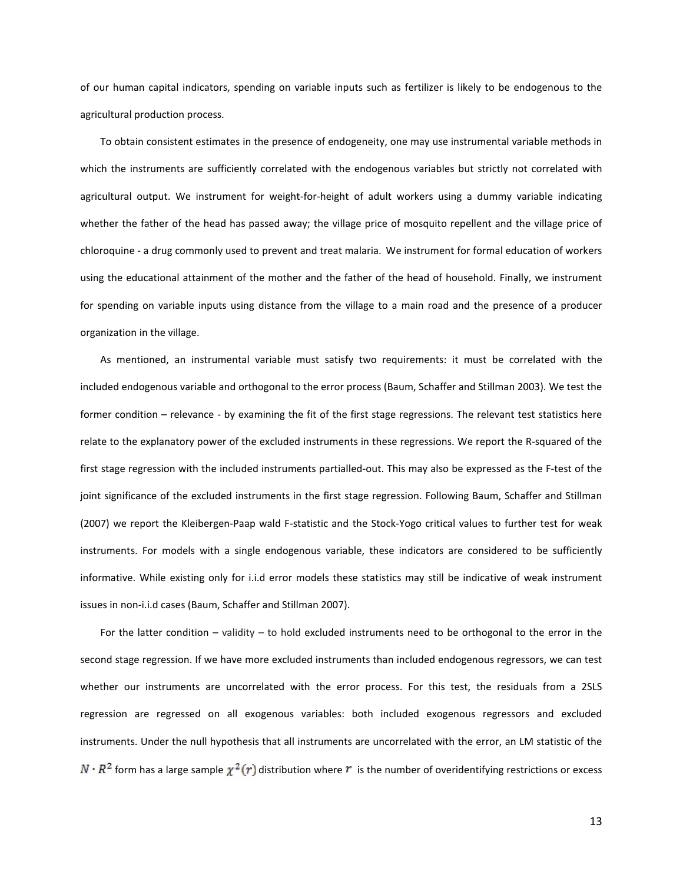of our human capital indicators, spending on variable inputs such as fertilizer is likely to be endogenous to the agricultural production process.

To obtain consistent estimates in the presence of endogeneity, one may use instrumental variable methods in which the instruments are sufficiently correlated with the endogenous variables but strictly not correlated with agricultural output. We instrument for weight-for-height of adult workers using a dummy variable indicating whether the father of the head has passed away; the village price of mosquito repellent and the village price of chloroquine - a drug commonly used to prevent and treat malaria. We instrument for formal education of workers using the educational attainment of the mother and the father of the head of household. Finally, we instrument for spending on variable inputs using distance from the village to a main road and the presence of a producer organization in the village.

As mentioned, an instrumental variable must satisfy two requirements: it must be correlated with the included endogenous variable and orthogonal to the error process (Baum, Schaffer and Stillman 2003). We test the former condition – relevance - by examining the fit of the first stage regressions. The relevant test statistics here relate to the explanatory power of the excluded instruments in these regressions. We report the R-squared of the first stage regression with the included instruments partialled-out. This may also be expressed as the F-test of the joint significance of the excluded instruments in the first stage regression. Following Baum, Schaffer and Stillman (2007) we report the Kleibergen-Paap wald F-statistic and the Stock-Yogo critical values to further test for weak instruments. For models with a single endogenous variable, these indicators are considered to be sufficiently informative. While existing only for i.i.d error models these statistics may still be indicative of weak instrument issues in non-i.i.d cases (Baum, Schaffer and Stillman 2007).

For the latter condition – validity – to hold excluded instruments need to be orthogonal to the error in the second stage regression. If we have more excluded instruments than included endogenous regressors, we can test whether our instruments are uncorrelated with the error process. For this test, the residuals from a 2SLS regression are regressed on all exogenous variables: both included exogenous regressors and excluded instruments. Under the null hypothesis that all instruments are uncorrelated with the error, an LM statistic of the  $\sqrt{N\cdot R^2}$  form has a large sample  $\chi^2(r)$  distribution where  $r$  is the number of overidentifying restrictions or excess

13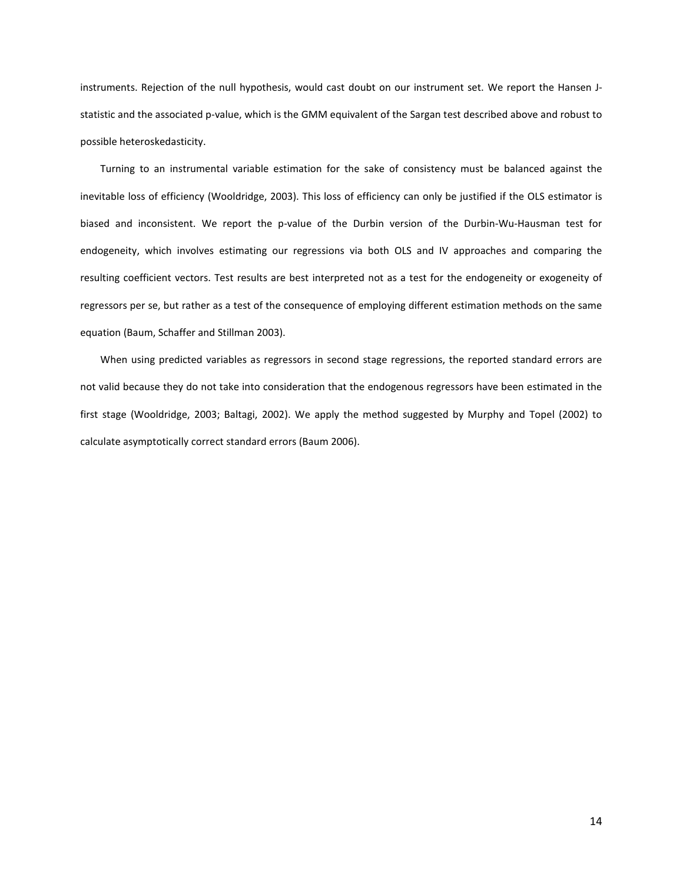instruments. Rejection of the null hypothesis, would cast doubt on our instrument set. We report the Hansen Jstatistic and the associated p-value, which is the GMM equivalent of the Sargan test described above and robust to possible heteroskedasticity.

Turning to an instrumental variable estimation for the sake of consistency must be balanced against the inevitable loss of efficiency (Wooldridge, 2003). This loss of efficiency can only be justified if the OLS estimator is biased and inconsistent. We report the p-value of the Durbin version of the Durbin-Wu-Hausman test for endogeneity, which involves estimating our regressions via both OLS and IV approaches and comparing the resulting coefficient vectors. Test results are best interpreted not as a test for the endogeneity or exogeneity of regressors per se, but rather as a test of the consequence of employing different estimation methods on the same equation (Baum, Schaffer and Stillman 2003).

When using predicted variables as regressors in second stage regressions, the reported standard errors are not valid because they do not take into consideration that the endogenous regressors have been estimated in the first stage (Wooldridge, 2003; Baltagi, 2002). We apply the method suggested by Murphy and Topel (2002) to calculate asymptotically correct standard errors (Baum 2006).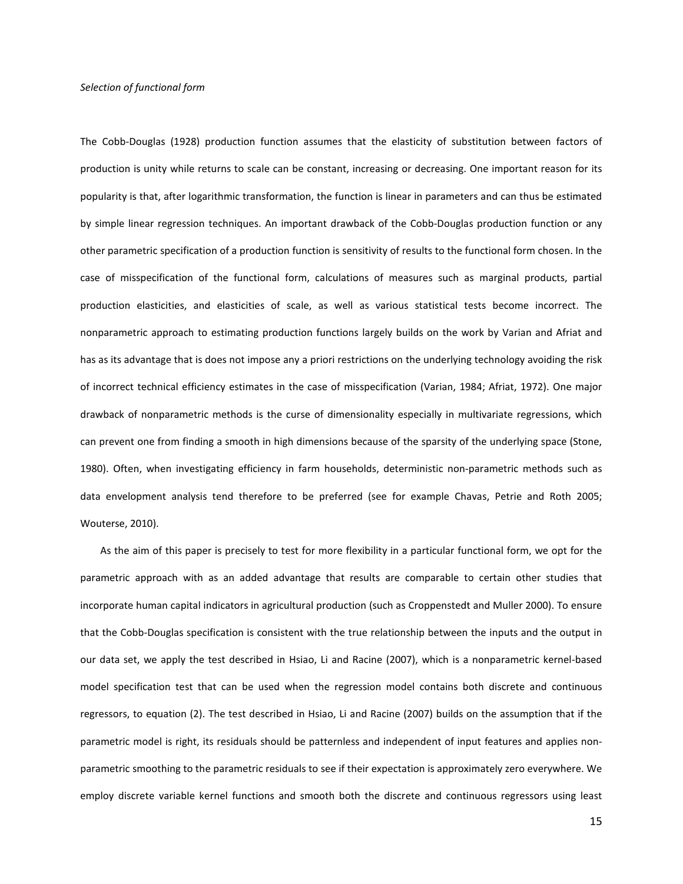The Cobb-Douglas (1928) production function assumes that the elasticity of substitution between factors of production is unity while returns to scale can be constant, increasing or decreasing. One important reason for its popularity is that, after logarithmic transformation, the function is linear in parameters and can thus be estimated by simple linear regression techniques. An important drawback of the Cobb-Douglas production function or any other parametric specification of a production function is sensitivity of results to the functional form chosen. In the case of misspecification of the functional form, calculations of measures such as marginal products, partial production elasticities, and elasticities of scale, as well as various statistical tests become incorrect. The nonparametric approach to estimating production functions largely builds on the work by Varian and Afriat and has as its advantage that is does not impose any a priori restrictions on the underlying technology avoiding the risk of incorrect technical efficiency estimates in the case of misspecification (Varian, 1984; Afriat, 1972). One major drawback of nonparametric methods is the curse of dimensionality especially in multivariate regressions, which can prevent one from finding a smooth in high dimensions because of the sparsity of the underlying space (Stone, 1980). Often, when investigating efficiency in farm households, deterministic non-parametric methods such as data envelopment analysis tend therefore to be preferred (see for example Chavas, Petrie and Roth 2005; Wouterse, 2010).

As the aim of this paper is precisely to test for more flexibility in a particular functional form, we opt for the parametric approach with as an added advantage that results are comparable to certain other studies that incorporate human capital indicators in agricultural production (such as Croppenstedt and Muller 2000). To ensure that the Cobb-Douglas specification is consistent with the true relationship between the inputs and the output in our data set, we apply the test described in Hsiao, Li and Racine (2007), which is a nonparametric kernel-based model specification test that can be used when the regression model contains both discrete and continuous regressors, to equation (2). The test described in Hsiao, Li and Racine (2007) builds on the assumption that if the parametric model is right, its residuals should be patternless and independent of input features and applies nonparametric smoothing to the parametric residuals to see if their expectation is approximately zero everywhere. We employ discrete variable kernel functions and smooth both the discrete and continuous regressors using least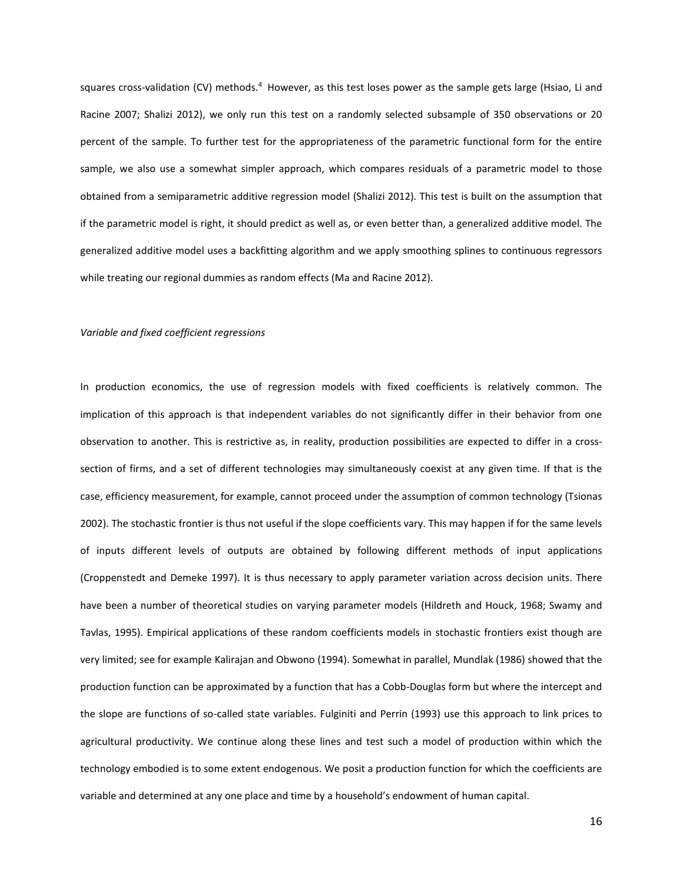squares cross-validation (CV) methods.<sup>4</sup> However, as this test loses power as the sample gets large (Hsiao, Li and Racine 2007; Shalizi 2012), we only run this test on a randomly selected subsample of 350 observations or 20 percent of the sample. To further test for the appropriateness of the parametric functional form for the entire sample, we also use a somewhat simpler approach, which compares residuals of a parametric model to those obtained from a semiparametric additive regression model (Shalizi 2012). This test is built on the assumption that if the parametric model is right, it should predict as well as, or even better than, a generalized additive model. The generalized additive model uses a backfitting algorithm and we apply smoothing splines to continuous regressors while treating our regional dummies as random effects (Ma and Racine 2012).

# *Variable and fixed coefficient regressions*

In production economics, the use of regression models with fixed coefficients is relatively common. The implication of this approach is that independent variables do not significantly differ in their behavior from one observation to another. This is restrictive as, in reality, production possibilities are expected to differ in a crosssection of firms, and a set of different technologies may simultaneously coexist at any given time. If that is the case, efficiency measurement, for example, cannot proceed under the assumption of common technology (Tsionas 2002). The stochastic frontier is thus not useful if the slope coefficients vary. This may happen if for the same levels of inputs different levels of outputs are obtained by following different methods of input applications (Croppenstedt and Demeke 1997). It is thus necessary to apply parameter variation across decision units. There have been a number of theoretical studies on varying parameter models (Hildreth and Houck, 1968; Swamy and Tavlas, 1995). Empirical applications of these random coefficients models in stochastic frontiers exist though are very limited; see for example Kalirajan and Obwono (1994). Somewhat in parallel, Mundlak (1986) showed that the production function can be approximated by a function that has a Cobb-Douglas form but where the intercept and the slope are functions of so-called state variables. Fulginiti and Perrin (1993) use this approach to link prices to agricultural productivity. We continue along these lines and test such a model of production within which the technology embodied is to some extent endogenous. We posit a production function for which the coefficients are variable and determined at any one place and time by a household's endowment of human capital.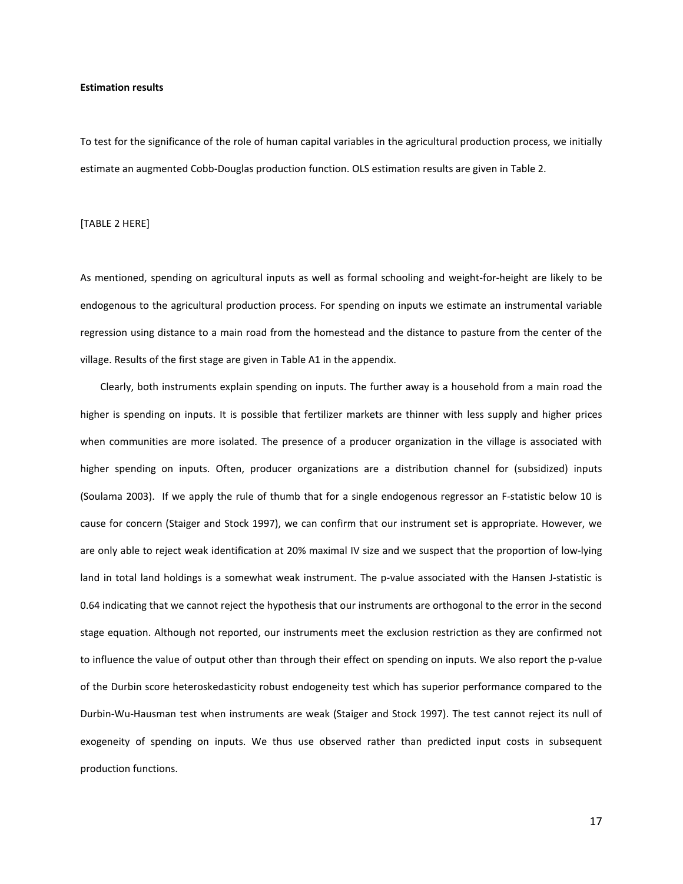#### **Estimation results**

To test for the significance of the role of human capital variables in the agricultural production process, we initially estimate an augmented Cobb-Douglas production function. OLS estimation results are given in Table 2.

[TABLE 2 HERE]

As mentioned, spending on agricultural inputs as well as formal schooling and weight-for-height are likely to be endogenous to the agricultural production process. For spending on inputs we estimate an instrumental variable regression using distance to a main road from the homestead and the distance to pasture from the center of the village. Results of the first stage are given in Table A1 in the appendix.

Clearly, both instruments explain spending on inputs. The further away is a household from a main road the higher is spending on inputs. It is possible that fertilizer markets are thinner with less supply and higher prices when communities are more isolated. The presence of a producer organization in the village is associated with higher spending on inputs. Often, producer organizations are a distribution channel for (subsidized) inputs (Soulama 2003). If we apply the rule of thumb that for a single endogenous regressor an F-statistic below 10 is cause for concern (Staiger and Stock 1997), we can confirm that our instrument set is appropriate. However, we are only able to reject weak identification at 20% maximal IV size and we suspect that the proportion of low-lying land in total land holdings is a somewhat weak instrument. The p-value associated with the Hansen J-statistic is 0.64 indicating that we cannot reject the hypothesis that our instruments are orthogonal to the error in the second stage equation. Although not reported, our instruments meet the exclusion restriction as they are confirmed not to influence the value of output other than through their effect on spending on inputs. We also report the p-value of the Durbin score heteroskedasticity robust endogeneity test which has superior performance compared to the Durbin-Wu-Hausman test when instruments are weak (Staiger and Stock 1997). The test cannot reject its null of exogeneity of spending on inputs. We thus use observed rather than predicted input costs in subsequent production functions.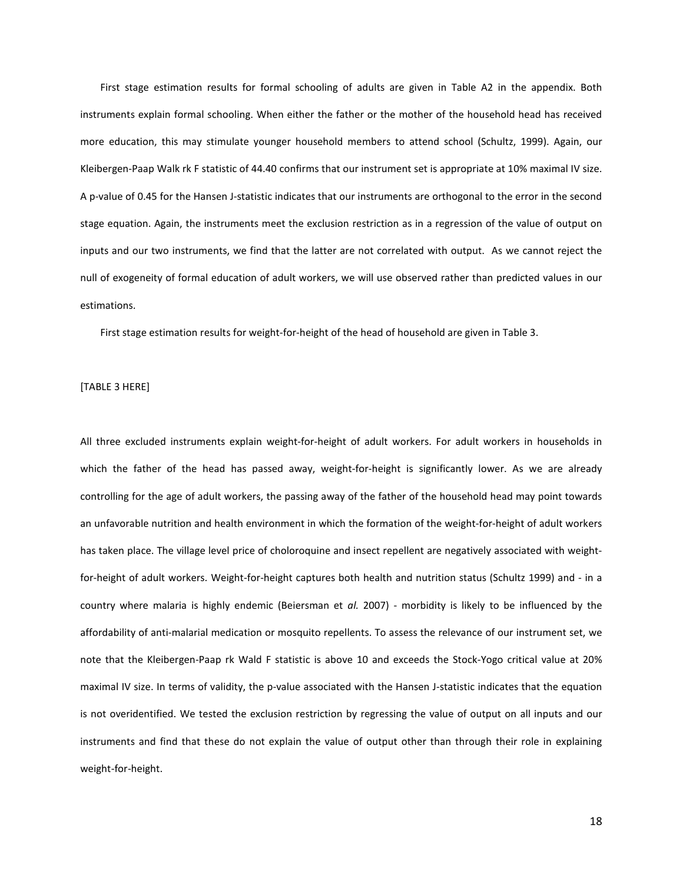First stage estimation results for formal schooling of adults are given in Table A2 in the appendix. Both instruments explain formal schooling. When either the father or the mother of the household head has received more education, this may stimulate younger household members to attend school (Schultz, 1999). Again, our Kleibergen-Paap Walk rk F statistic of 44.40 confirms that our instrument set is appropriate at 10% maximal IV size. A p-value of 0.45 for the Hansen J-statistic indicates that our instruments are orthogonal to the error in the second stage equation. Again, the instruments meet the exclusion restriction as in a regression of the value of output on inputs and our two instruments, we find that the latter are not correlated with output. As we cannot reject the null of exogeneity of formal education of adult workers, we will use observed rather than predicted values in our estimations.

First stage estimation results for weight-for-height of the head of household are given in Table 3.

# [TABLE 3 HERE]

All three excluded instruments explain weight-for-height of adult workers. For adult workers in households in which the father of the head has passed away, weight-for-height is significantly lower. As we are already controlling for the age of adult workers, the passing away of the father of the household head may point towards an unfavorable nutrition and health environment in which the formation of the weight-for-height of adult workers has taken place. The village level price of choloroquine and insect repellent are negatively associated with weightfor-height of adult workers. Weight-for-height captures both health and nutrition status (Schultz 1999) and - in a country where malaria is highly endemic (Beiersman et *al.* 2007) - morbidity is likely to be influenced by the affordability of anti-malarial medication or mosquito repellents. To assess the relevance of our instrument set, we note that the Kleibergen-Paap rk Wald F statistic is above 10 and exceeds the Stock-Yogo critical value at 20% maximal IV size. In terms of validity, the p-value associated with the Hansen J-statistic indicates that the equation is not overidentified. We tested the exclusion restriction by regressing the value of output on all inputs and our instruments and find that these do not explain the value of output other than through their role in explaining weight-for-height.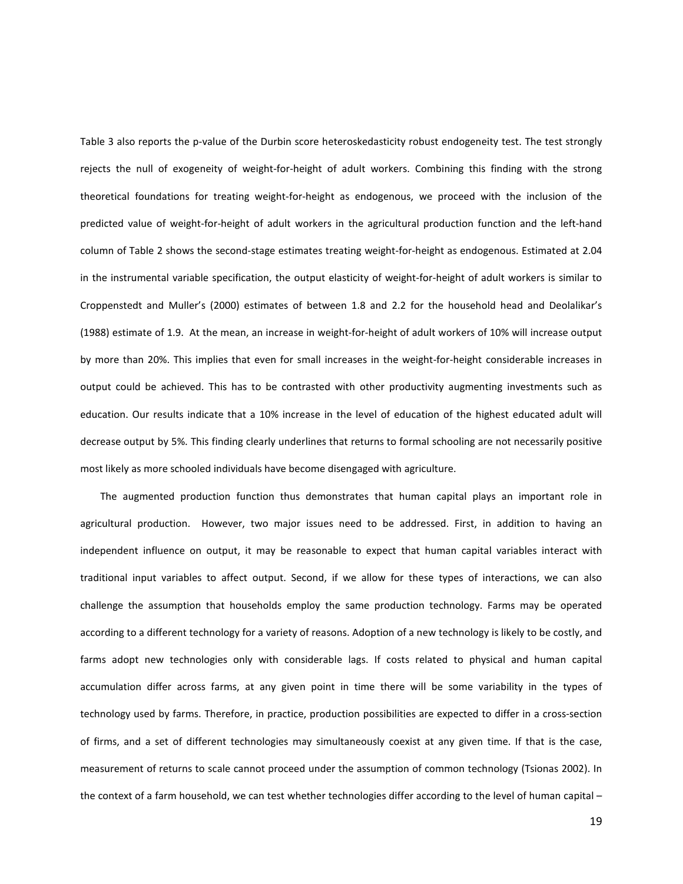Table 3 also reports the p-value of the Durbin score heteroskedasticity robust endogeneity test. The test strongly rejects the null of exogeneity of weight-for-height of adult workers. Combining this finding with the strong theoretical foundations for treating weight-for-height as endogenous, we proceed with the inclusion of the predicted value of weight-for-height of adult workers in the agricultural production function and the left-hand column of Table 2 shows the second-stage estimates treating weight-for-height as endogenous. Estimated at 2.04 in the instrumental variable specification, the output elasticity of weight-for-height of adult workers is similar to Croppenstedt and Muller's (2000) estimates of between 1.8 and 2.2 for the household head and Deolalikar's (1988) estimate of 1.9. At the mean, an increase in weight-for-height of adult workers of 10% will increase output by more than 20%. This implies that even for small increases in the weight-for-height considerable increases in output could be achieved. This has to be contrasted with other productivity augmenting investments such as education. Our results indicate that a 10% increase in the level of education of the highest educated adult will decrease output by 5%. This finding clearly underlines that returns to formal schooling are not necessarily positive most likely as more schooled individuals have become disengaged with agriculture.

The augmented production function thus demonstrates that human capital plays an important role in agricultural production. However, two major issues need to be addressed. First, in addition to having an independent influence on output, it may be reasonable to expect that human capital variables interact with traditional input variables to affect output. Second, if we allow for these types of interactions, we can also challenge the assumption that households employ the same production technology. Farms may be operated according to a different technology for a variety of reasons. Adoption of a new technology is likely to be costly, and farms adopt new technologies only with considerable lags. If costs related to physical and human capital accumulation differ across farms, at any given point in time there will be some variability in the types of technology used by farms. Therefore, in practice, production possibilities are expected to differ in a cross-section of firms, and a set of different technologies may simultaneously coexist at any given time. If that is the case, measurement of returns to scale cannot proceed under the assumption of common technology (Tsionas 2002). In the context of a farm household, we can test whether technologies differ according to the level of human capital –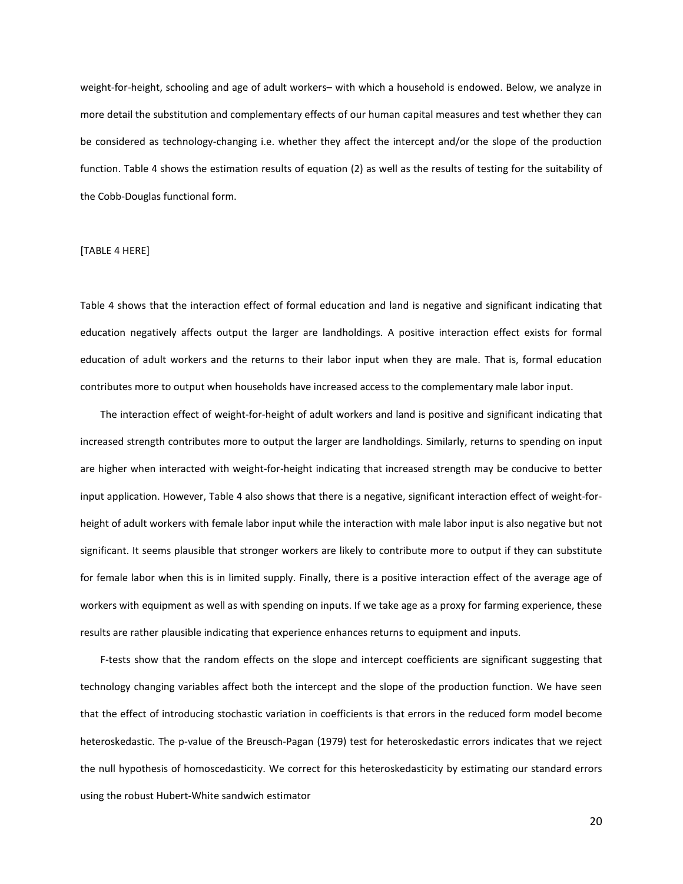weight-for-height, schooling and age of adult workers– with which a household is endowed. Below, we analyze in more detail the substitution and complementary effects of our human capital measures and test whether they can be considered as technology-changing i.e. whether they affect the intercept and/or the slope of the production function. Table 4 shows the estimation results of equation (2) as well as the results of testing for the suitability of the Cobb-Douglas functional form.

#### [TABLE 4 HERE]

Table 4 shows that the interaction effect of formal education and land is negative and significant indicating that education negatively affects output the larger are landholdings. A positive interaction effect exists for formal education of adult workers and the returns to their labor input when they are male. That is, formal education contributes more to output when households have increased access to the complementary male labor input.

The interaction effect of weight-for-height of adult workers and land is positive and significant indicating that increased strength contributes more to output the larger are landholdings. Similarly, returns to spending on input are higher when interacted with weight-for-height indicating that increased strength may be conducive to better input application. However, Table 4 also shows that there is a negative, significant interaction effect of weight-forheight of adult workers with female labor input while the interaction with male labor input is also negative but not significant. It seems plausible that stronger workers are likely to contribute more to output if they can substitute for female labor when this is in limited supply. Finally, there is a positive interaction effect of the average age of workers with equipment as well as with spending on inputs. If we take age as a proxy for farming experience, these results are rather plausible indicating that experience enhances returns to equipment and inputs.

F-tests show that the random effects on the slope and intercept coefficients are significant suggesting that technology changing variables affect both the intercept and the slope of the production function. We have seen that the effect of introducing stochastic variation in coefficients is that errors in the reduced form model become heteroskedastic. The p-value of the Breusch-Pagan (1979) test for heteroskedastic errors indicates that we reject the null hypothesis of homoscedasticity. We correct for this heteroskedasticity by estimating our standard errors using the robust Hubert-White sandwich estimator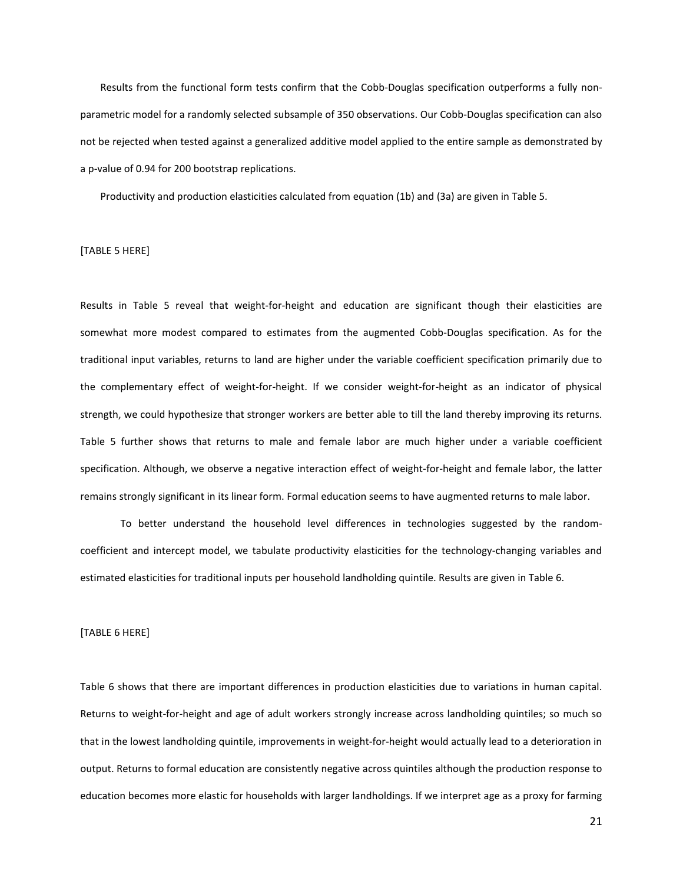Results from the functional form tests confirm that the Cobb-Douglas specification outperforms a fully nonparametric model for a randomly selected subsample of 350 observations. Our Cobb-Douglas specification can also not be rejected when tested against a generalized additive model applied to the entire sample as demonstrated by a p-value of 0.94 for 200 bootstrap replications.

Productivity and production elasticities calculated from equation (1b) and (3a) are given in Table 5.

# [TABLE 5 HERE]

Results in Table 5 reveal that weight-for-height and education are significant though their elasticities are somewhat more modest compared to estimates from the augmented Cobb-Douglas specification. As for the traditional input variables, returns to land are higher under the variable coefficient specification primarily due to the complementary effect of weight-for-height. If we consider weight-for-height as an indicator of physical strength, we could hypothesize that stronger workers are better able to till the land thereby improving its returns. Table 5 further shows that returns to male and female labor are much higher under a variable coefficient specification. Although, we observe a negative interaction effect of weight-for-height and female labor, the latter remains strongly significant in its linear form. Formal education seems to have augmented returns to male labor.

To better understand the household level differences in technologies suggested by the randomcoefficient and intercept model, we tabulate productivity elasticities for the technology-changing variables and estimated elasticities for traditional inputs per household landholding quintile. Results are given in Table 6.

## [TABLE 6 HERE]

Table 6 shows that there are important differences in production elasticities due to variations in human capital. Returns to weight-for-height and age of adult workers strongly increase across landholding quintiles; so much so that in the lowest landholding quintile, improvements in weight-for-height would actually lead to a deterioration in output. Returns to formal education are consistently negative across quintiles although the production response to education becomes more elastic for households with larger landholdings. If we interpret age as a proxy for farming

21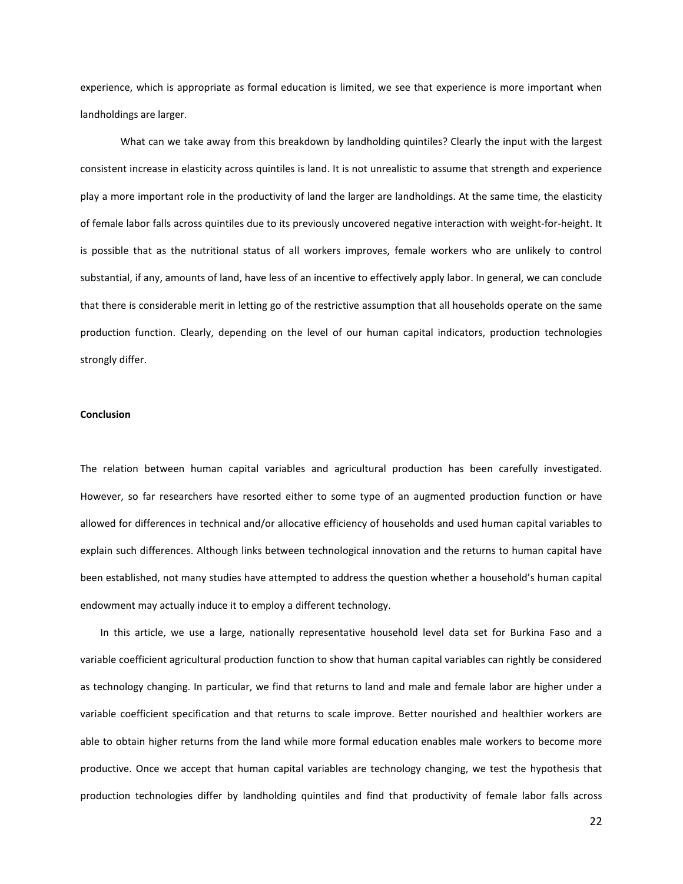experience, which is appropriate as formal education is limited, we see that experience is more important when landholdings are larger.

What can we take away from this breakdown by landholding quintiles? Clearly the input with the largest consistent increase in elasticity across quintiles is land. It is not unrealistic to assume that strength and experience play a more important role in the productivity of land the larger are landholdings. At the same time, the elasticity of female labor falls across quintiles due to its previously uncovered negative interaction with weight-for-height. It is possible that as the nutritional status of all workers improves, female workers who are unlikely to control substantial, if any, amounts of land, have less of an incentive to effectively apply labor. In general, we can conclude that there is considerable merit in letting go of the restrictive assumption that all households operate on the same production function. Clearly, depending on the level of our human capital indicators, production technologies strongly differ.

# **Conclusion**

The relation between human capital variables and agricultural production has been carefully investigated. However, so far researchers have resorted either to some type of an augmented production function or have allowed for differences in technical and/or allocative efficiency of households and used human capital variables to explain such differences. Although links between technological innovation and the returns to human capital have been established, not many studies have attempted to address the question whether a household's human capital endowment may actually induce it to employ a different technology.

In this article, we use a large, nationally representative household level data set for Burkina Faso and a variable coefficient agricultural production function to show that human capital variables can rightly be considered as technology changing. In particular, we find that returns to land and male and female labor are higher under a variable coefficient specification and that returns to scale improve. Better nourished and healthier workers are able to obtain higher returns from the land while more formal education enables male workers to become more productive. Once we accept that human capital variables are technology changing, we test the hypothesis that production technologies differ by landholding quintiles and find that productivity of female labor falls across

22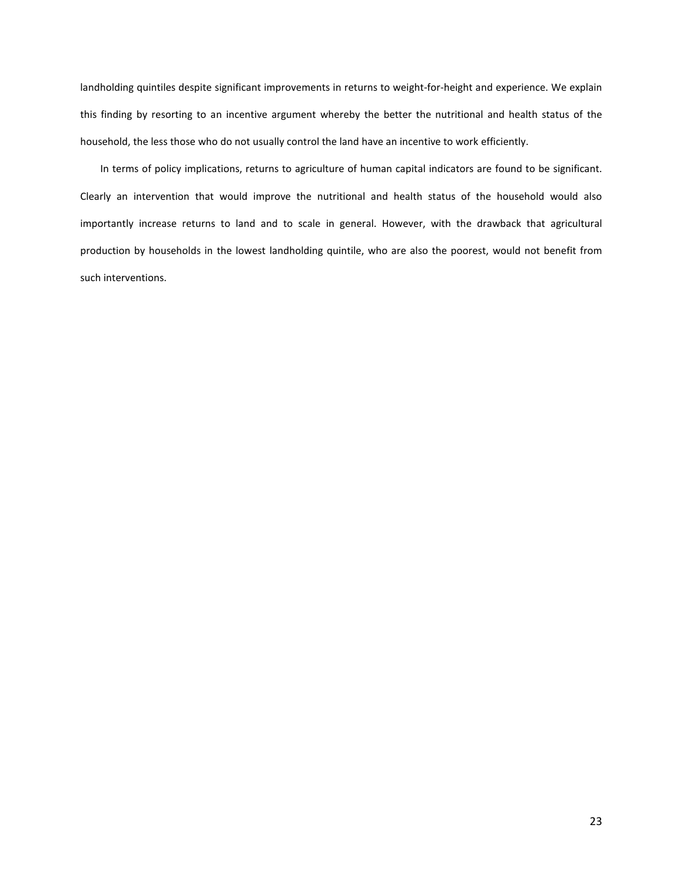landholding quintiles despite significant improvements in returns to weight-for-height and experience. We explain this finding by resorting to an incentive argument whereby the better the nutritional and health status of the household, the less those who do not usually control the land have an incentive to work efficiently.

In terms of policy implications, returns to agriculture of human capital indicators are found to be significant. Clearly an intervention that would improve the nutritional and health status of the household would also importantly increase returns to land and to scale in general. However, with the drawback that agricultural production by households in the lowest landholding quintile, who are also the poorest, would not benefit from such interventions.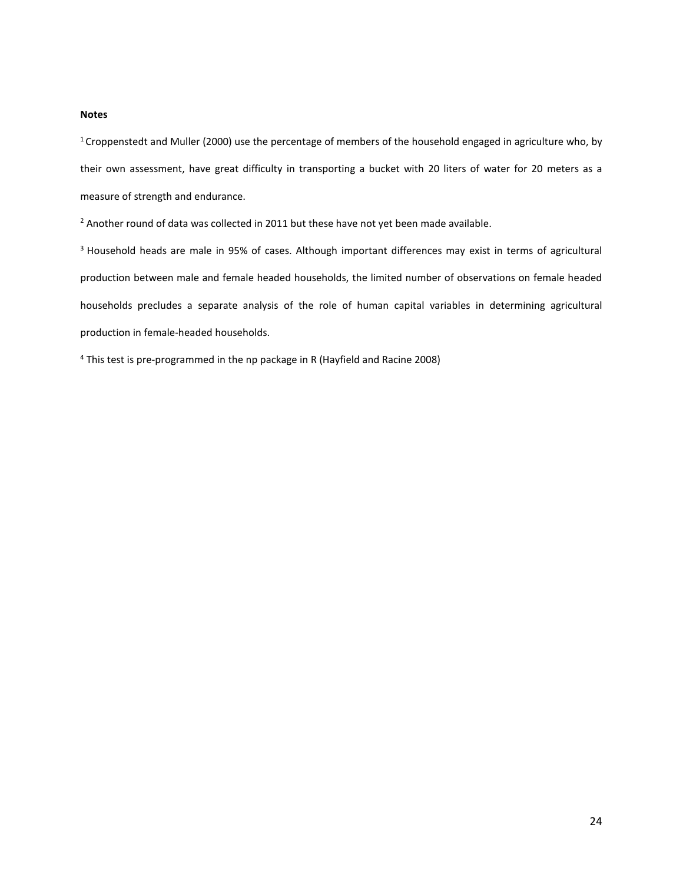## **Notes**

<sup>1</sup> Croppenstedt and Muller (2000) use the percentage of members of the household engaged in agriculture who, by their own assessment, have great difficulty in transporting a bucket with 20 liters of water for 20 meters as a measure of strength and endurance.

<sup>2</sup> Another round of data was collected in 2011 but these have not yet been made available.

3 Household heads are male in 95% of cases. Although important differences may exist in terms of agricultural production between male and female headed households, the limited number of observations on female headed households precludes a separate analysis of the role of human capital variables in determining agricultural production in female-headed households.

<sup>4</sup> This test is pre-programmed in the np package in R (Hayfield and Racine 2008)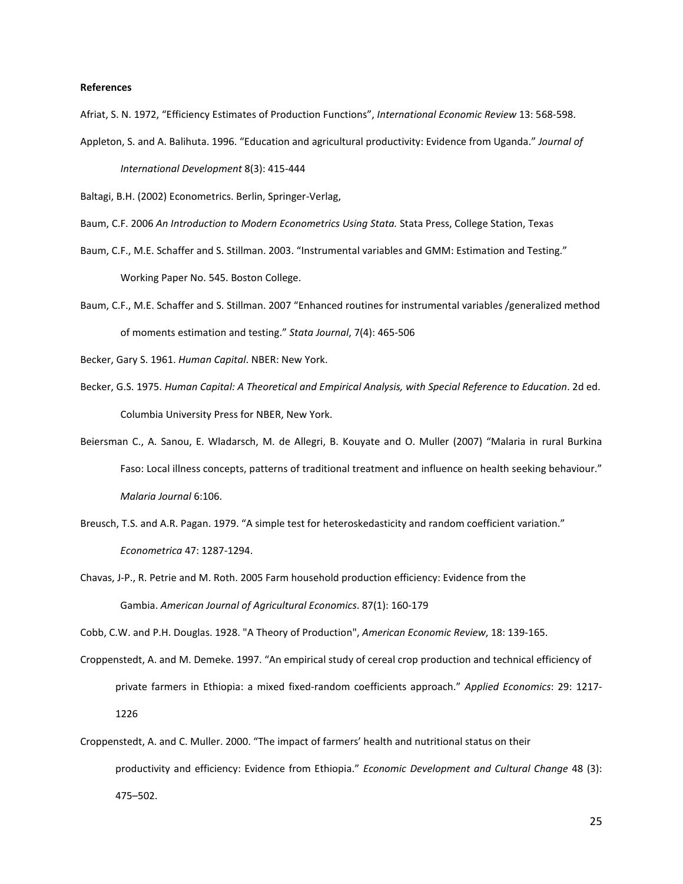# **References**

Afriat, S. N. 1972, "Efficiency Estimates of Production Functions", *International Economic Review* 13: 568-598.

Appleton, S. and A. Balihuta. 1996. "Education and agricultural productivity: Evidence from Uganda." *Journal of International Development* 8(3): 415-444

Baltagi, B.H. (2002) Econometrics. Berlin, Springer-Verlag,

Baum, C.F. 2006 *An Introduction to Modern Econometrics Using Stata.* Stata Press, College Station, Texas

- Baum, C.F., M.E. Schaffer and S. Stillman. 2003. "Instrumental variables and GMM: Estimation and Testing." Working Paper No. 545. Boston College.
- Baum, C.F., M.E. Schaffer and S. Stillman. 2007 "Enhanced routines for instrumental variables /generalized method of moments estimation and testing." *Stata Journal*, 7(4): 465-506

Becker, Gary S. 1961. *Human Capital*. NBER: New York.

- Becker, G.S. 1975. *Human Capital: A Theoretical and Empirical Analysis, with Special Reference to Education*. 2d ed. Columbia University Press for NBER, New York.
- Beiersman C., A. Sanou, E. Wladarsch, M. de Allegri, B. Kouyate and O. Muller (2007) "Malaria in rural Burkina Faso: Local illness concepts, patterns of traditional treatment and influence on health seeking behaviour." *Malaria Journal* 6:106.
- Breusch, T.S. and A.R. Pagan. 1979. "A simple test for heteroskedasticity and random coefficient variation." *Econometrica* 47: 1287-1294.
- Chavas, J-P., R. Petrie and M. Roth. 2005 Farm household production efficiency: Evidence from the Gambia. *American Journal of Agricultural Economics*. 87(1): 160-179

Cobb, C.W. and P.H. Douglas. 1928. "A Theory of Production", *American Economic Review*, 18: 139-165.

- Croppenstedt, A. and M. Demeke. 1997. "An empirical study of cereal crop production and technical efficiency of private farmers in Ethiopia: a mixed fixed-random coefficients approach." *Applied Economics*: 29: 1217- 1226
- Croppenstedt, A. and C. Muller. 2000. "The impact of farmers' health and nutritional status on their productivity and efficiency: Evidence from Ethiopia." *Economic Development and Cultural Change* 48 (3): 475–502.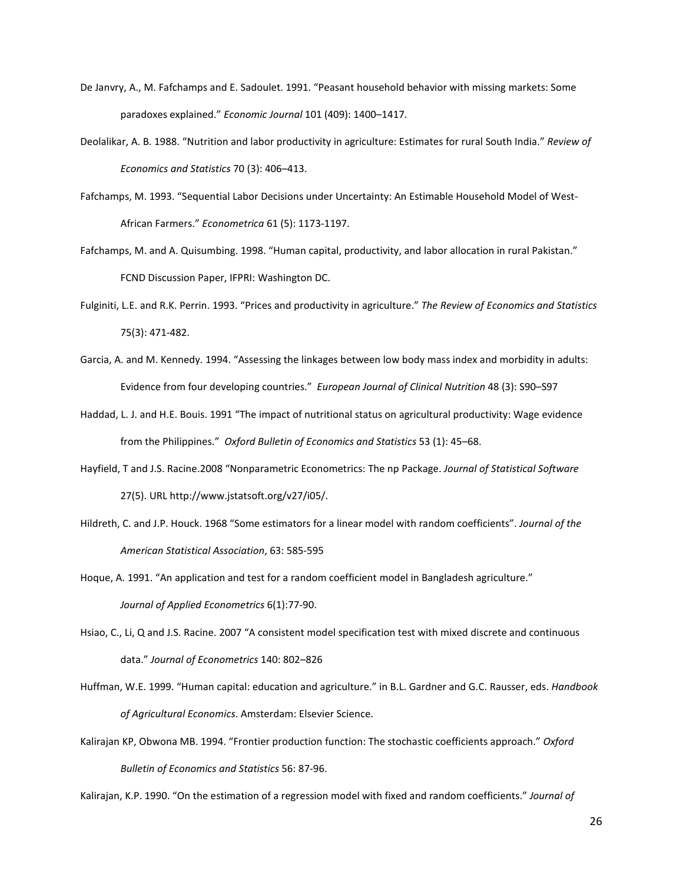- De Janvry, A., M. Fafchamps and E. Sadoulet. 1991. "Peasant household behavior with missing markets: Some paradoxes explained." *Economic Journal* 101 (409): 1400–1417.
- Deolalikar, A. B. 1988. "Nutrition and labor productivity in agriculture: Estimates for rural South India." *Review of Economics and Statistics* 70 (3): 406–413.
- Fafchamps, M. 1993. "Sequential Labor Decisions under Uncertainty: An Estimable Household Model of West-African Farmers." *Econometrica* 61 (5): 1173-1197.
- Fafchamps, M. and A. Quisumbing. 1998. "Human capital, productivity, and labor allocation in rural Pakistan." FCND Discussion Paper, IFPRI: Washington DC.
- Fulginiti, L.E. and R.K. Perrin. 1993. "Prices and productivity in agriculture." *The Review of Economics and Statistics*  75(3): 471-482.
- Garcia, A. and M. Kennedy. 1994. "Assessing the linkages between low body mass index and morbidity in adults: Evidence from four developing countries." *European Journal of Clinical Nutrition* 48 (3): S90–S97
- Haddad, L. J. and H.E. Bouis. 1991 "The impact of nutritional status on agricultural productivity: Wage evidence from the Philippines." *Oxford Bulletin of Economics and Statistics* 53 (1): 45–68.
- Hayfield, T and J.S. Racine.2008 "Nonparametric Econometrics: The np Package. *Journal of Statistical Software*  27(5). URL http://www.jstatsoft.org/v27/i05/.
- Hildreth, C. and J.P. Houck. 1968 "Some estimators for a linear model with random coefficients". *Journal of the American Statistical Association*, 63: 585-595
- Hoque, A. 1991. "An application and test for a random coefficient model in Bangladesh agriculture." *Journal of Applied Econometrics* 6(1):77-90.
- Hsiao, C., Li, Q and J.S. Racine. 2007 "A consistent model specification test with mixed discrete and continuous data." *Journal of Econometrics* 140: 802–826
- Huffman, W.E. 1999. "Human capital: education and agriculture." in B.L. Gardner and G.C. Rausser, eds. *Handbook of Agricultural Economics*. Amsterdam: Elsevier Science.
- Kalirajan KP, Obwona MB. 1994. "Frontier production function: The stochastic coefficients approach." *Oxford Bulletin of Economics and Statistics* 56: 87-96.

Kalirajan, K.P. 1990. "On the estimation of a regression model with fixed and random coefficients." *Journal of*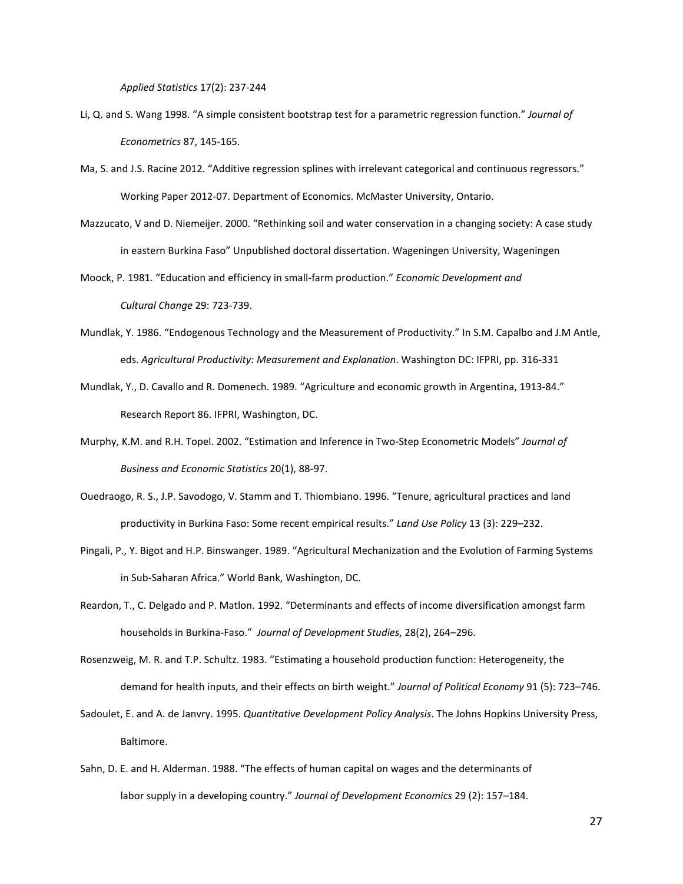*Applied Statistics* 17(2): 237-244

- Li, Q. and S. Wang 1998. "A simple consistent bootstrap test for a parametric regression function." *Journal of Econometrics* 87, 145-165.
- Ma, S. and J.S. Racine 2012. "Additive regression splines with irrelevant categorical and continuous regressors." Working Paper 2012-07. Department of Economics. McMaster University, Ontario.
- Mazzucato, V and D. Niemeijer. 2000. "Rethinking soil and water conservation in a changing society: A case study in eastern Burkina Faso" Unpublished doctoral dissertation. Wageningen University, Wageningen

Moock, P. 1981. "Education and efficiency in small-farm production." *Economic Development and Cultural Change* 29: 723-739.

- Mundlak, Y. 1986. "Endogenous Technology and the Measurement of Productivity." In S.M. Capalbo and J.M Antle, eds. *Agricultural Productivity: Measurement and Explanation*. Washington DC: IFPRI, pp. 316-331
- Mundlak, Y., D. Cavallo and R. Domenech. 1989. "Agriculture and economic growth in Argentina, 1913-84." Research Report 86. IFPRI, Washington, DC.
- Murphy, K.M. and R.H. Topel. 2002. "Estimation and Inference in Two-Step Econometric Models" *Journal of Business and Economic Statistics* 20(1), 88-97.
- Ouedraogo, R. S., J.P. Savodogo, V. Stamm and T. Thiombiano. 1996. "Tenure, agricultural practices and land productivity in Burkina Faso: Some recent empirical results." *Land Use Policy* 13 (3): 229–232.
- Pingali, P., Y. Bigot and H.P. Binswanger. 1989. "Agricultural Mechanization and the Evolution of Farming Systems in Sub-Saharan Africa." World Bank, Washington, DC.
- Reardon, T., C. Delgado and P. Matlon. 1992. "Determinants and effects of income diversification amongst farm households in Burkina-Faso." *Journal of Development Studies*, 28(2), 264–296.

Rosenzweig, M. R. and T.P. Schultz. 1983. "Estimating a household production function: Heterogeneity, the demand for health inputs, and their effects on birth weight." *Journal of Political Economy* 91 (5): 723–746.

- Sadoulet, E. and A. de Janvry. 1995. *Quantitative Development Policy Analysis*. The Johns Hopkins University Press, Baltimore.
- Sahn, D. E. and H. Alderman. 1988. "The effects of human capital on wages and the determinants of labor supply in a developing country." *Journal of Development Economics* 29 (2): 157–184.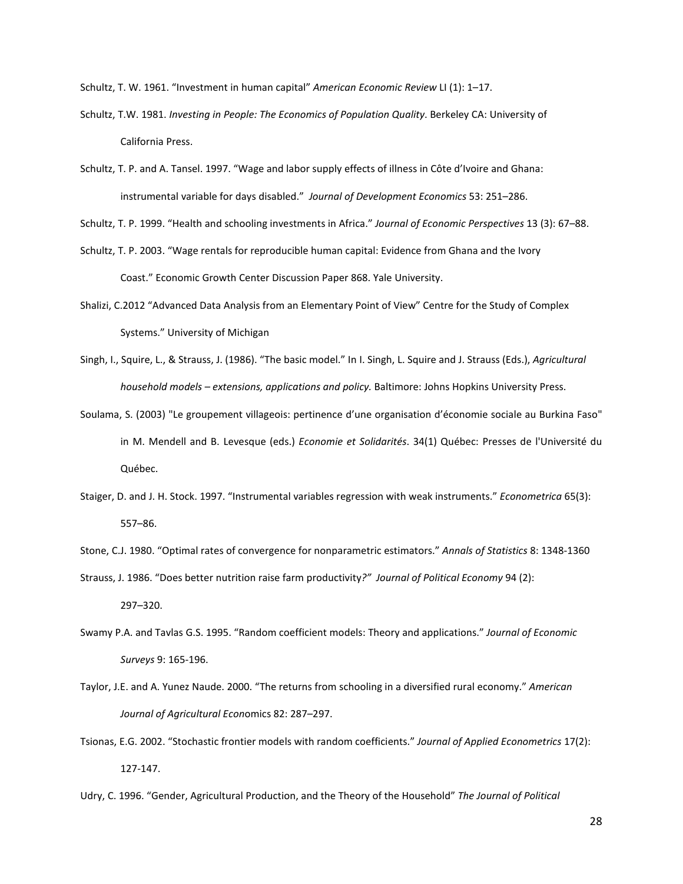Schultz, T. W. 1961. "Investment in human capital" *American Economic Review* LI (1): 1–17.

- Schultz, T.W. 1981. *Investing in People: The Economics of Population Quality*. Berkeley CA: University of California Press.
- Schultz, T. P. and A. Tansel. 1997. "Wage and labor supply effects of illness in Côte d'Ivoire and Ghana: instrumental variable for days disabled." *Journal of Development Economics* 53: 251–286.

Schultz, T. P. 1999. "Health and schooling investments in Africa." *Journal of Economic Perspectives* 13 (3): 67–88.

- Schultz, T. P. 2003. "Wage rentals for reproducible human capital: Evidence from Ghana and the Ivory Coast." Economic Growth Center Discussion Paper 868. Yale University.
- Shalizi, C.2012 "Advanced Data Analysis from an Elementary Point of View" Centre for the Study of Complex Systems." University of Michigan
- Singh, I., Squire, L., & Strauss, J. (1986). "The basic model." In I. Singh, L. Squire and J. Strauss (Eds.), *Agricultural household models – extensions, applications and policy.* Baltimore: Johns Hopkins University Press.
- Soulama, S. (2003) "Le groupement villageois: pertinence d'une organisation d'économie sociale au Burkina Faso" in M. Mendell and B. Levesque (eds.) *Economie et Solidarités*. 34(1) Québec: Presses de l'Université du Québec.
- Staiger, D. and J. H. Stock. 1997. "Instrumental variables regression with weak instruments." *Econometrica* 65(3): 557–86.
- Stone, C.J. 1980. "Optimal rates of convergence for nonparametric estimators." *Annals of Statistics* 8: 1348-1360
- Strauss, J. 1986. "Does better nutrition raise farm productivity*?" Journal of Political Economy* 94 (2): 297–320.
- Swamy P.A. and Tavlas G.S. 1995. "Random coefficient models: Theory and applications." *Journal of Economic Surveys* 9: 165-196.
- Taylor, J.E. and A. Yunez Naude. 2000. "The returns from schooling in a diversified rural economy." *American Journal of Agricultural Econ*omics 82: 287–297.
- Tsionas, E.G. 2002. "Stochastic frontier models with random coefficients." *Journal of Applied Econometrics* 17(2): 127-147.
- Udry, C. 1996. "Gender, Agricultural Production, and the Theory of the Household" *The Journal of Political*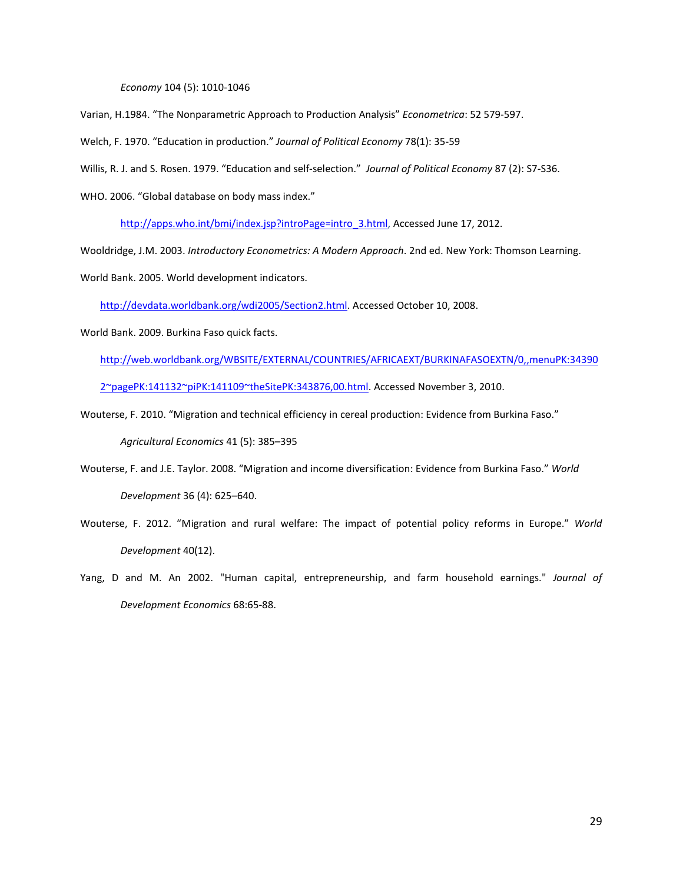*Economy* 104 (5): 1010-1046

Varian, H.1984. "The Nonparametric Approach to Production Analysis" *Econometrica*: 52 579-597.

Welch, F. 1970. "Education in production." *Journal of Political Economy* 78(1): 35-59

Willis, R. J. and S. Rosen. 1979. "Education and self-selection." *Journal of Political Economy* 87 (2): S7-S36.

WHO. 2006. "Global database on body mass index."

[http://apps.who.int/bmi/index.jsp?introPage=intro\\_3.html,](http://apps.who.int/bmi/index.jsp?introPage=intro_3.html) Accessed June 17, 2012.

Wooldridge, J.M. 2003. *Introductory Econometrics: A Modern Approach*. 2nd ed. New York: Thomson Learning.

World Bank. 2005. World development indicators.

[http://devdata.worldbank.org/wdi2005/Section2.html.](http://devdata.worldbank.org/wdi2005/Section2.html) Accessed October 10, 2008.

World Bank. 2009. Burkina Faso quick facts.

[http://web.worldbank.org/WBSITE/EXTERNAL/COUNTRIES/AFRICAEXT/BURKINAFASOEXTN/0,,menuPK:34390](http://web.worldbank.org/WBSITE/EXTERNAL/COUNTRIES/AFRICAEXT/BURKINAFASOEXTN/0,,menuPK:343902%7EpagePK:141132%7EpiPK:141109%7EtheSitePK:343876,00.html) [2~pagePK:141132~piPK:141109~theSitePK:343876,00.html.](http://web.worldbank.org/WBSITE/EXTERNAL/COUNTRIES/AFRICAEXT/BURKINAFASOEXTN/0,,menuPK:343902%7EpagePK:141132%7EpiPK:141109%7EtheSitePK:343876,00.html) Accessed November 3, 2010.

Wouterse, F. 2010. "Migration and technical efficiency in cereal production: Evidence from Burkina Faso."

*Agricultural Economics* 41 (5): 385–395

- Wouterse, F. and J.E. Taylor. 2008. "Migration and income diversification: Evidence from Burkina Faso." *World Development* 36 (4): 625–640.
- Wouterse, F. 2012. "Migration and rural welfare: The impact of potential policy reforms in Europe." *World Development* 40(12).
- Yang, D and M. An 2002. "Human capital, entrepreneurship, and farm household earnings." *Journal of Development Economics* 68:65-88.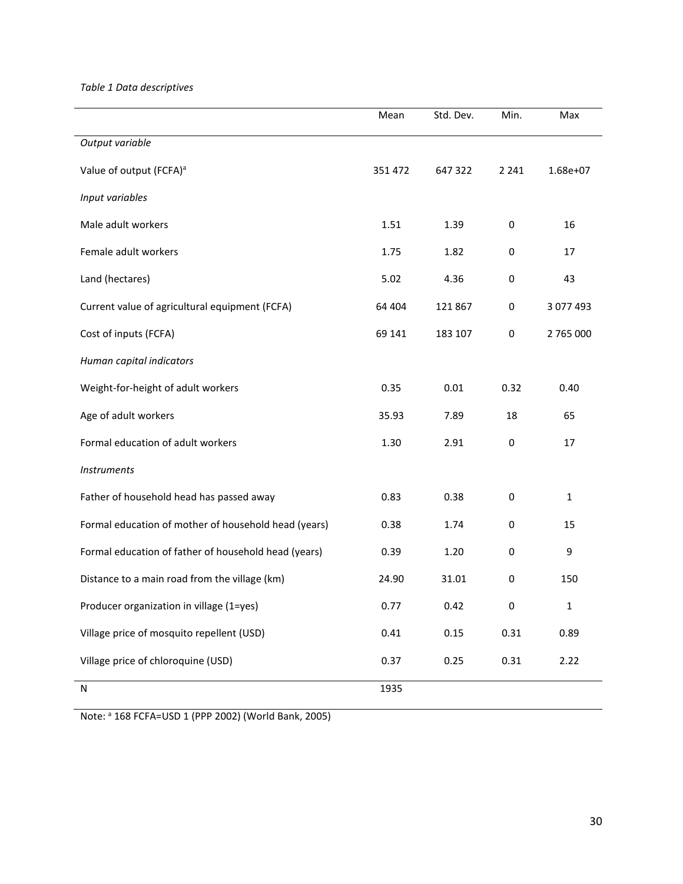*Table 1 Data descriptives*

|                                                      | Mean    | Std. Dev. | Min.        | Max          |
|------------------------------------------------------|---------|-----------|-------------|--------------|
| Output variable                                      |         |           |             |              |
| Value of output (FCFA) <sup>a</sup>                  | 351 472 | 647 322   | 2 2 4 1     | $1.68e + 07$ |
| Input variables                                      |         |           |             |              |
| Male adult workers                                   | 1.51    | 1.39      | $\mathbf 0$ | 16           |
| Female adult workers                                 | 1.75    | 1.82      | 0           | 17           |
| Land (hectares)                                      | 5.02    | 4.36      | $\mathbf 0$ | 43           |
| Current value of agricultural equipment (FCFA)       | 64 404  | 121 867   | 0           | 3 077 493    |
| Cost of inputs (FCFA)                                | 69 141  | 183 107   | 0           | 2 765 000    |
| Human capital indicators                             |         |           |             |              |
| Weight-for-height of adult workers                   | 0.35    | 0.01      | 0.32        | 0.40         |
| Age of adult workers                                 | 35.93   | 7.89      | 18          | 65           |
| Formal education of adult workers                    | 1.30    | 2.91      | 0           | 17           |
| Instruments                                          |         |           |             |              |
| Father of household head has passed away             | 0.83    | 0.38      | 0           | $\mathbf{1}$ |
| Formal education of mother of household head (years) | 0.38    | 1.74      | 0           | 15           |
| Formal education of father of household head (years) | 0.39    | 1.20      | 0           | 9            |
| Distance to a main road from the village (km)        | 24.90   | 31.01     | 0           | 150          |
| Producer organization in village (1=yes)             | 0.77    | 0.42      | 0           | 1            |
| Village price of mosquito repellent (USD)            | 0.41    | 0.15      | 0.31        | 0.89         |
| Village price of chloroquine (USD)                   | 0.37    | 0.25      | 0.31        | 2.22         |
| N                                                    | 1935    |           |             |              |

Note: a 168 FCFA=USD 1 (PPP 2002) (World Bank, 2005)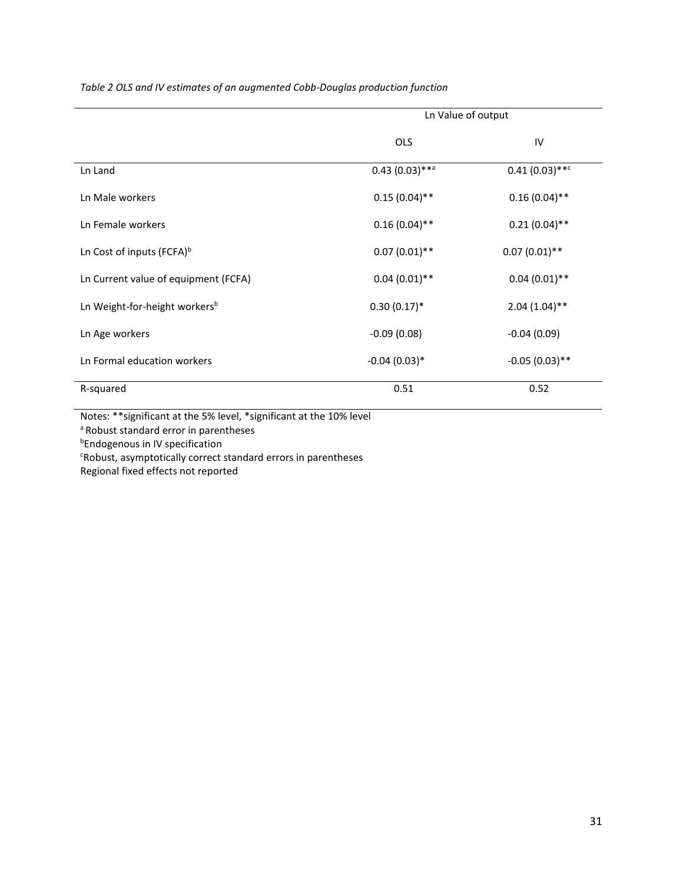|                                           | Ln Value of output |                              |  |
|-------------------------------------------|--------------------|------------------------------|--|
|                                           | <b>OLS</b>         | IV                           |  |
| Ln Land                                   | $0.43(0.03)$ **a   | $0.41(0.03)$ ** <sup>c</sup> |  |
| Ln Male workers                           | $0.15(0.04)$ **    | $0.16(0.04)$ **              |  |
| Ln Female workers                         | $0.16(0.04)$ **    | $0.21(0.04)$ **              |  |
| Ln Cost of inputs (FCFA) <sup>b</sup>     | $0.07(0.01)$ **    | $0.07(0.01)$ **              |  |
| Ln Current value of equipment (FCFA)      | $0.04(0.01)$ **    | $0.04(0.01)$ **              |  |
| Ln Weight-for-height workers <sup>b</sup> | $0.30(0.17)$ *     | $2.04(1.04)$ **              |  |
| Ln Age workers                            | $-0.09(0.08)$      | $-0.04(0.09)$                |  |
| Ln Formal education workers               | $-0.04(0.03)*$     | $-0.05(0.03)$ **             |  |
| R-squared                                 | 0.51               | 0.52                         |  |

*Table 2 OLS and IV estimates of an augmented Cobb-Douglas production function*

Notes: \*\*significant at the 5% level, \*significant at the 10% level

a Robust standard error in parentheses

b Endogenous in IV specification

c Robust, asymptotically correct standard errors in parentheses

Regional fixed effects not reported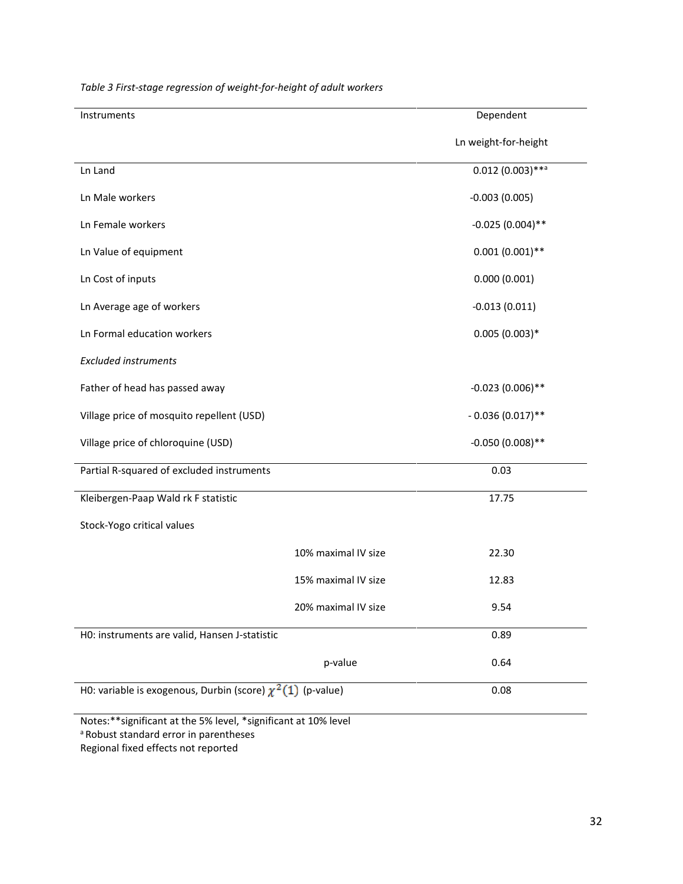| Instruments                                                     |                     | Dependent            |
|-----------------------------------------------------------------|---------------------|----------------------|
|                                                                 |                     | Ln weight-for-height |
| Ln Land                                                         |                     | $0.012(0.003)$ **a   |
| Ln Male workers                                                 |                     | $-0.003(0.005)$      |
| Ln Female workers                                               |                     | $-0.025(0.004)$ **   |
| Ln Value of equipment                                           |                     | $0.001(0.001)$ **    |
| Ln Cost of inputs                                               |                     | 0.000(0.001)         |
| Ln Average age of workers                                       |                     | $-0.013(0.011)$      |
| Ln Formal education workers                                     |                     | $0.005(0.003)*$      |
| <b>Excluded instruments</b>                                     |                     |                      |
| Father of head has passed away                                  |                     | $-0.023(0.006)$ **   |
| Village price of mosquito repellent (USD)                       |                     | $-0.036(0.017)$ **   |
| Village price of chloroquine (USD)                              |                     | $-0.050(0.008)$ **   |
| Partial R-squared of excluded instruments                       |                     | 0.03                 |
| Kleibergen-Paap Wald rk F statistic                             |                     | 17.75                |
| Stock-Yogo critical values                                      |                     |                      |
|                                                                 | 10% maximal IV size | 22.30                |
|                                                                 | 15% maximal IV size | 12.83                |
|                                                                 | 20% maximal IV size | 9.54                 |
| H0: instruments are valid, Hansen J-statistic                   |                     | 0.89                 |
|                                                                 | p-value             | 0.64                 |
| H0: variable is exogenous, Durbin (score) $\chi^2(1)$ (p-value) |                     | 0.08                 |

*Table 3 First-stage regression of weight-for-height of adult workers*

Notes:\*\*significant at the 5% level, \*significant at 10% level a Robust standard error in parentheses Regional fixed effects not reported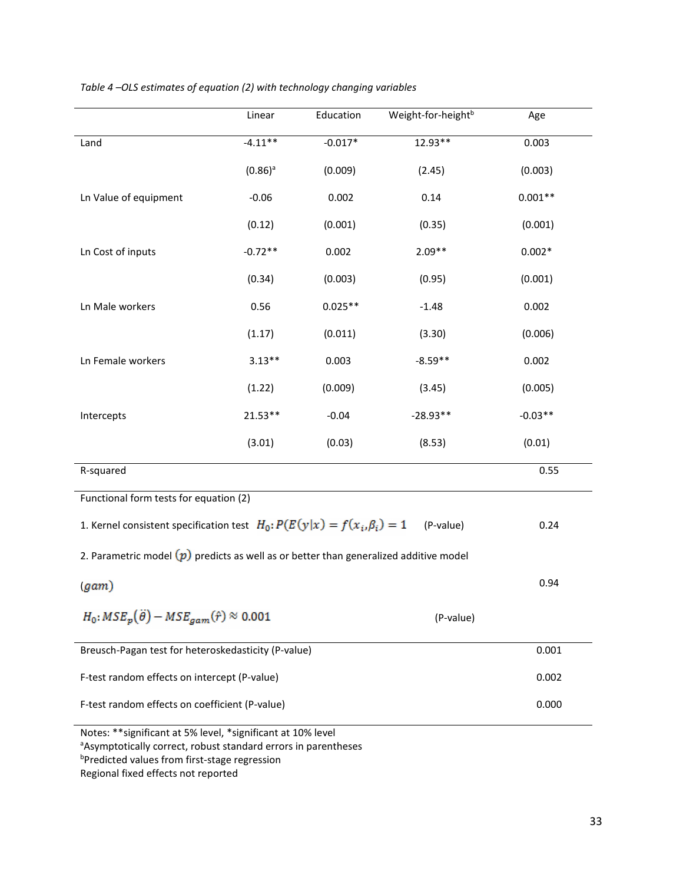|                                                                                                     | Linear                | Education | Weight-for-height <sup>b</sup> | Age       |
|-----------------------------------------------------------------------------------------------------|-----------------------|-----------|--------------------------------|-----------|
| Land                                                                                                | $-4.11**$             | $-0.017*$ | 12.93**                        | 0.003     |
|                                                                                                     | $(0.86)$ <sup>a</sup> | (0.009)   | (2.45)                         | (0.003)   |
| Ln Value of equipment                                                                               | $-0.06$               | 0.002     | 0.14                           | $0.001**$ |
|                                                                                                     | (0.12)                | (0.001)   | (0.35)                         | (0.001)   |
| Ln Cost of inputs                                                                                   | $-0.72**$             | 0.002     | $2.09**$                       | $0.002*$  |
|                                                                                                     | (0.34)                | (0.003)   | (0.95)                         | (0.001)   |
| Ln Male workers                                                                                     | 0.56                  | $0.025**$ | $-1.48$                        | 0.002     |
|                                                                                                     | (1.17)                | (0.011)   | (3.30)                         | (0.006)   |
| Ln Female workers                                                                                   | $3.13**$              | 0.003     | $-8.59**$                      | 0.002     |
|                                                                                                     | (1.22)                | (0.009)   | (3.45)                         | (0.005)   |
| Intercepts                                                                                          | $21.53**$             | $-0.04$   | $-28.93**$                     | $-0.03**$ |
|                                                                                                     | (3.01)                | (0.03)    | (8.53)                         | (0.01)    |
| R-squared                                                                                           |                       |           |                                | 0.55      |
| Functional form tests for equation (2)                                                              |                       |           |                                |           |
| 1. Kernel consistent specification test $H_0$ : $P(E(y x) = f(x_i, \beta_i) = 1$                    |                       |           | (P-value)                      |           |
|                                                                                                     |                       |           |                                | 0.24      |
|                                                                                                     |                       |           |                                |           |
| 2. Parametric model $(p)$ predicts as well as or better than generalized additive model<br>(gam)    |                       |           |                                | 0.94      |
| $H_0: MSE_p(\ddot{\theta}) - MSE_{gam}(\hat{r}) \approx 0.001$                                      |                       |           | (P-value)                      |           |
|                                                                                                     |                       |           |                                | 0.001     |
| Breusch-Pagan test for heteroskedasticity (P-value)<br>F-test random effects on intercept (P-value) |                       |           |                                | 0.002     |

| Table 4 –OLS estimates of equation (2) with technology changing variables |
|---------------------------------------------------------------------------|
|                                                                           |

b Predicted values from first-stage regression

Regional fixed effects not reported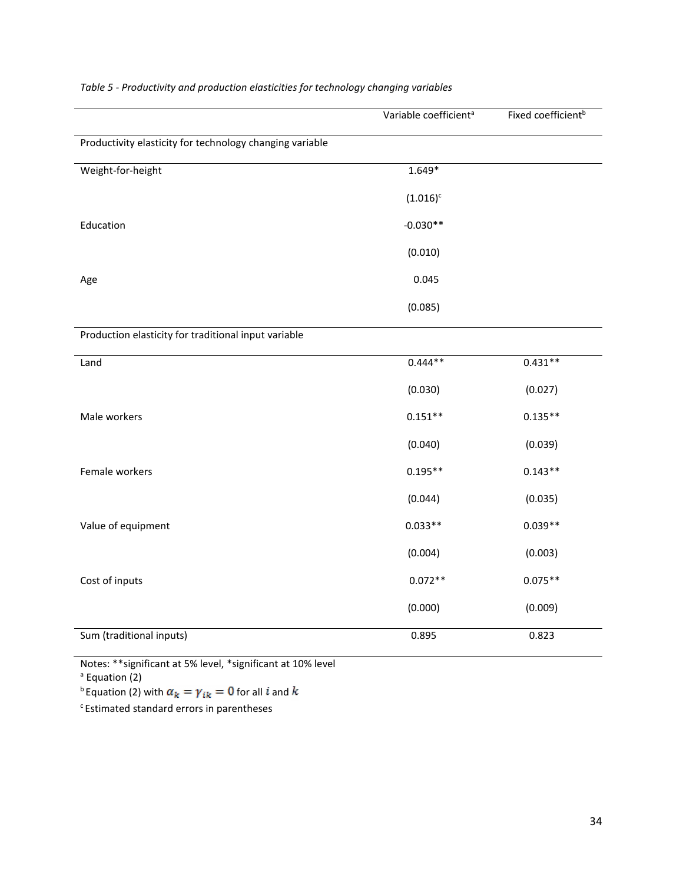|                                                          | Variable coefficient <sup>a</sup> | Fixed coefficient <sup>b</sup> |
|----------------------------------------------------------|-----------------------------------|--------------------------------|
| Productivity elasticity for technology changing variable |                                   |                                |
| Weight-for-height                                        | $1.649*$                          |                                |
|                                                          | $(1.016)^c$                       |                                |
| Education                                                | $-0.030**$                        |                                |
|                                                          | (0.010)                           |                                |
| Age                                                      | 0.045                             |                                |
|                                                          | (0.085)                           |                                |
| Production elasticity for traditional input variable     |                                   |                                |
| Land                                                     | $0.444**$                         | $0.431**$                      |
|                                                          |                                   |                                |
|                                                          | (0.030)                           | (0.027)                        |
| Male workers                                             | $0.151**$                         | $0.135**$                      |
|                                                          | (0.040)                           | (0.039)                        |
| Female workers                                           | $0.195**$                         | $0.143**$                      |
|                                                          | (0.044)                           | (0.035)                        |
| Value of equipment                                       | $0.033**$                         | $0.039**$                      |
|                                                          | (0.004)                           | (0.003)                        |
| Cost of inputs                                           | $0.072**$                         | $0.075**$                      |
|                                                          | (0.000)                           | (0.009)                        |
| Sum (traditional inputs)                                 | 0.895                             | 0.823                          |

# *Table 5 - Productivity and production elasticities for technology changing variables*

Notes: \*\*significant at 5% level, \*significant at 10% level

<sup>a</sup> Equation (2)

**b** Equation (2) with  $\alpha_k = \gamma_{ik} = 0$  for all i and k

c Estimated standard errors in parentheses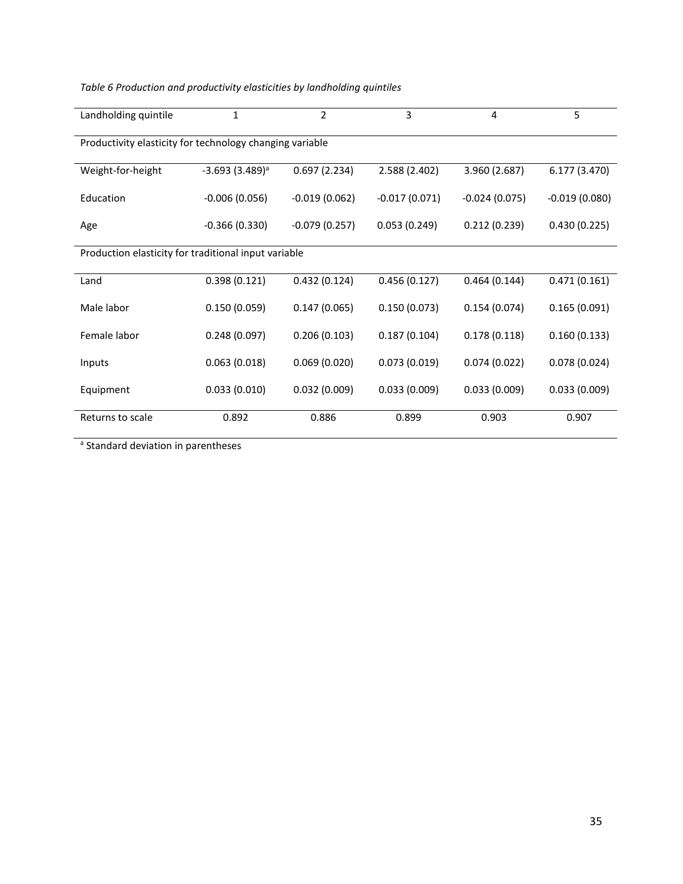| Landholding quintile                                     | $\mathbf{1}$        | $\overline{2}$  | 3               | 4               | 5               |
|----------------------------------------------------------|---------------------|-----------------|-----------------|-----------------|-----------------|
| Productivity elasticity for technology changing variable |                     |                 |                 |                 |                 |
| Weight-for-height                                        | $-3.693(3.489)^{a}$ | 0.697(2.234)    | 2.588 (2.402)   | 3.960 (2.687)   | 6.177 (3.470)   |
| Education                                                | $-0.006(0.056)$     | $-0.019(0.062)$ | $-0.017(0.071)$ | $-0.024(0.075)$ | $-0.019(0.080)$ |
| Age                                                      | $-0.366(0.330)$     | $-0.079(0.257)$ | 0.053(0.249)    | 0.212(0.239)    | 0.430(0.225)    |
| Production elasticity for traditional input variable     |                     |                 |                 |                 |                 |
| Land                                                     | 0.398(0.121)        | 0.432(0.124)    | 0.456(0.127)    | 0.464(0.144)    | 0.471(0.161)    |
| Male labor                                               | 0.150(0.059)        | 0.147(0.065)    | 0.150(0.073)    | 0.154(0.074)    | 0.165(0.091)    |
| Female labor                                             | 0.248(0.097)        | 0.206(0.103)    | 0.187(0.104)    | 0.178(0.118)    | 0.160(0.133)    |
| Inputs                                                   | 0.063(0.018)        | 0.069(0.020)    | 0.073(0.019)    | 0.074(0.022)    | 0.078(0.024)    |
| Equipment                                                | 0.033(0.010)        | 0.032(0.009)    | 0.033(0.009)    | 0.033(0.009)    | 0.033(0.009)    |
| Returns to scale                                         | 0.892               | 0.886           | 0.899           | 0.903           | 0.907           |

*Table 6 Production and productivity elasticities by landholding quintiles* 

a Standard deviation in parentheses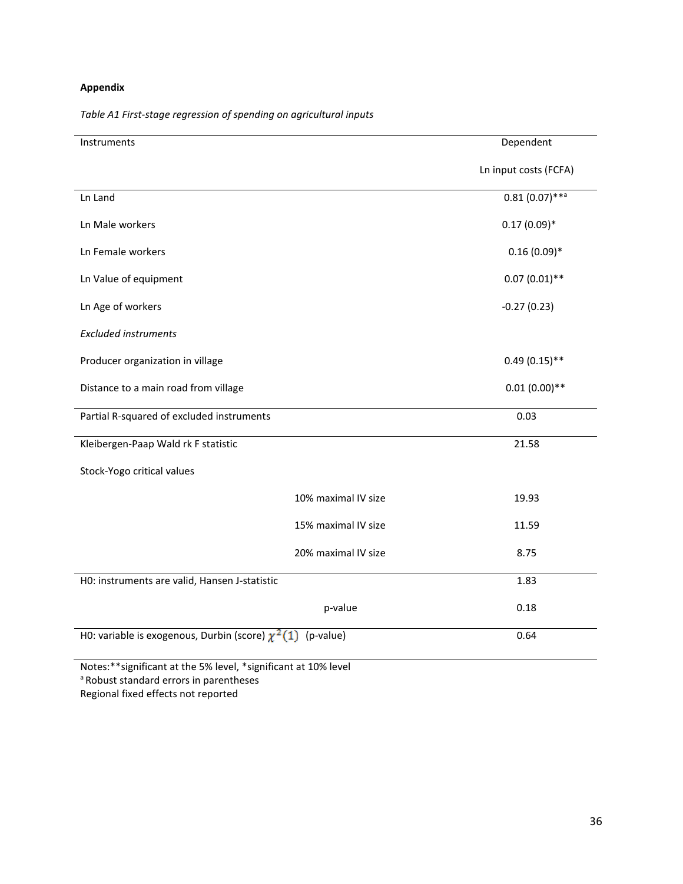# **Appendix**

*Table A1 First-stage regression of spending on agricultural inputs*

| Instruments                                                     |                     | Dependent             |
|-----------------------------------------------------------------|---------------------|-----------------------|
|                                                                 |                     | Ln input costs (FCFA) |
| Ln Land                                                         |                     | $0.81(0.07)$ **a      |
| Ln Male workers                                                 |                     | $0.17(0.09)*$         |
| Ln Female workers                                               |                     | $0.16(0.09)*$         |
| Ln Value of equipment                                           |                     | $0.07(0.01)$ **       |
| Ln Age of workers                                               |                     | $-0.27(0.23)$         |
| <b>Excluded instruments</b>                                     |                     |                       |
| Producer organization in village                                |                     | $0.49(0.15)$ **       |
| Distance to a main road from village                            |                     | $0.01(0.00)**$        |
| Partial R-squared of excluded instruments                       |                     | 0.03                  |
| Kleibergen-Paap Wald rk F statistic                             |                     | 21.58                 |
| Stock-Yogo critical values                                      |                     |                       |
|                                                                 | 10% maximal IV size | 19.93                 |
|                                                                 | 15% maximal IV size | 11.59                 |
|                                                                 | 20% maximal IV size | 8.75                  |
| HO: instruments are valid, Hansen J-statistic                   |                     | 1.83                  |
|                                                                 | p-value             | 0.18                  |
| H0: variable is exogenous, Durbin (score) $\chi^2(1)$ (p-value) |                     | 0.64                  |
| Notes: ** significant at the 5% level *significant at 10% level |                     |                       |

Notes:\*\*significant at the 5% level, \*significant at 10% level a Robust standard errors in parentheses

Regional fixed effects not reported